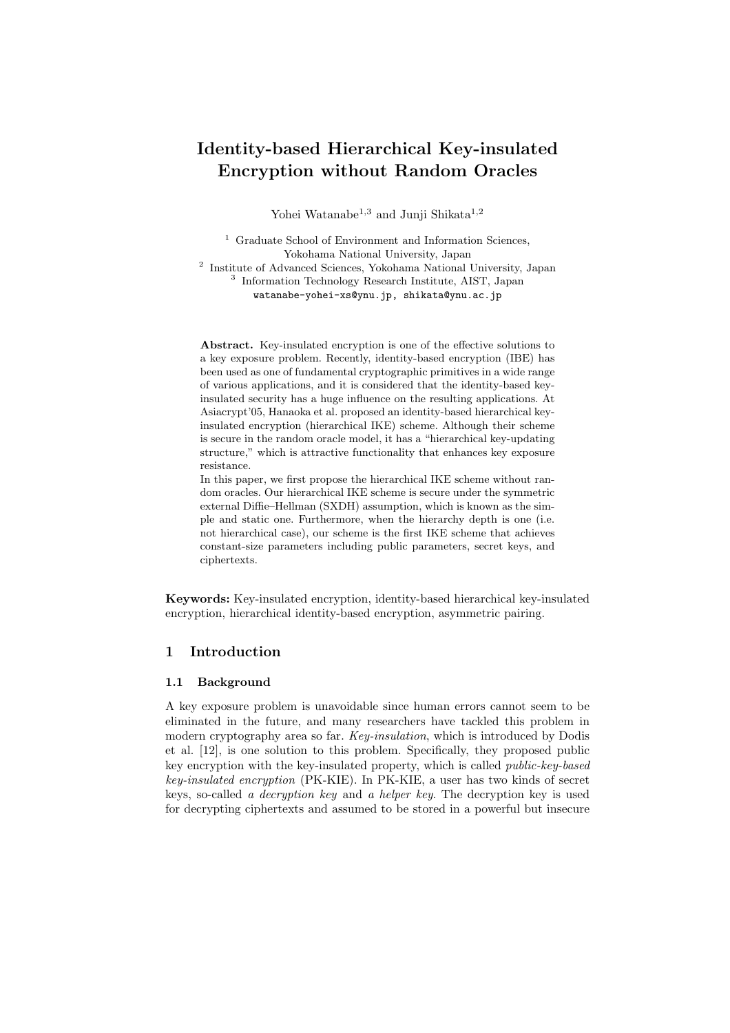# **Identity-based Hierarchical Key-insulated Encryption without Random Oracles**

Yohei Watanabe<sup>1,3</sup> and Junji Shikata<sup>1,2</sup>

<sup>1</sup> Graduate School of Environment and Information Sciences, Yokohama National University, Japan

<sup>2</sup> Institute of Advanced Sciences, Yokohama National University, Japan 3 Information Technology Research Institute, AIST, Japan watanabe-yohei-xs@ynu.jp, shikata@ynu.ac.jp

Abstract. Key-insulated encryption is one of the effective solutions to a key exposure problem. Recently, identity-based encryption (IBE) has been used as one of fundamental cryptographic primitives in a wide range of various applications, and it is considered that the identity-based keyinsulated security has a huge influence on the resulting applications. At Asiacrypt'05, Hanaoka et al. proposed an identity-based hierarchical keyinsulated encryption (hierarchical IKE) scheme. Although their scheme is secure in the random oracle model, it has a "hierarchical key-updating structure," which is attractive functionality that enhances key exposure resistance.

In this paper, we first propose the hierarchical IKE scheme without random oracles. Our hierarchical IKE scheme is secure under the symmetric external Diffie–Hellman (SXDH) assumption, which is known as the simple and static one. Furthermore, when the hierarchy depth is one (i.e. not hierarchical case), our scheme is the first IKE scheme that achieves constant-size parameters including public parameters, secret keys, and ciphertexts.

**Keywords:** Key-insulated encryption, identity-based hierarchical key-insulated encryption, hierarchical identity-based encryption, asymmetric pairing.

# **1 Introduction**

### **1.1 Background**

A key exposure problem is unavoidable since human errors cannot seem to be eliminated in the future, and many researchers have tackled this problem in modern cryptography area so far. *Key-insulation*, which is introduced by Dodis et al. [12], is one solution to this problem. Specifically, they proposed public key encryption with the key-insulated property, which is called *public-key-based key-insulated encryption* (PK-KIE). In PK-KIE, a user has two kinds of secret keys, so-called *a decryption key* and *a helper key*. The decryption key is used for decrypting ciphertexts and assumed to be stored in a powerful but insecure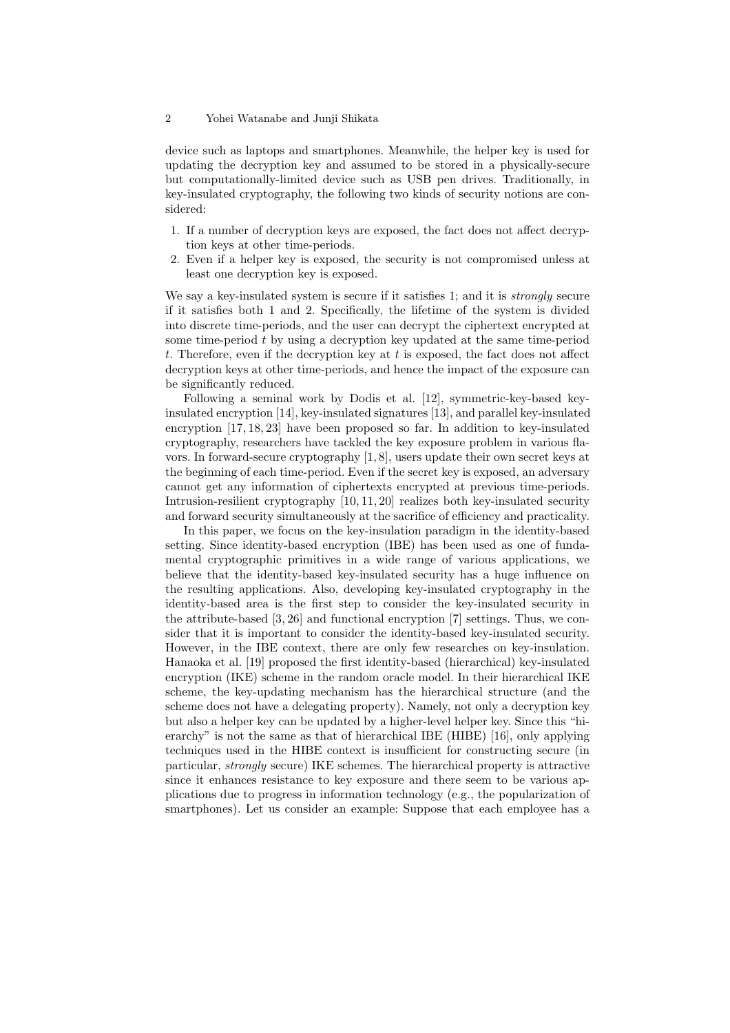device such as laptops and smartphones. Meanwhile, the helper key is used for updating the decryption key and assumed to be stored in a physically-secure but computationally-limited device such as USB pen drives. Traditionally, in key-insulated cryptography, the following two kinds of security notions are considered:

- 1. If a number of decryption keys are exposed, the fact does not affect decryption keys at other time-periods.
- 2. Even if a helper key is exposed, the security is not compromised unless at least one decryption key is exposed.

We say a key-insulated system is secure if it satisfies 1; and it is *strongly* secure if it satisfies both 1 and 2. Specifically, the lifetime of the system is divided into discrete time-periods, and the user can decrypt the ciphertext encrypted at some time-period *t* by using a decryption key updated at the same time-period *t*. Therefore, even if the decryption key at *t* is exposed, the fact does not affect decryption keys at other time-periods, and hence the impact of the exposure can be significantly reduced.

Following a seminal work by Dodis et al. [12], symmetric-key-based keyinsulated encryption [14], key-insulated signatures [13], and parallel key-insulated encryption [17, 18, 23] have been proposed so far. In addition to key-insulated cryptography, researchers have tackled the key exposure problem in various flavors. In forward-secure cryptography [1, 8], users update their own secret keys at the beginning of each time-period. Even if the secret key is exposed, an adversary cannot get any information of ciphertexts encrypted at previous time-periods. Intrusion-resilient cryptography [10, 11, 20] realizes both key-insulated security and forward security simultaneously at the sacrifice of efficiency and practicality.

In this paper, we focus on the key-insulation paradigm in the identity-based setting. Since identity-based encryption (IBE) has been used as one of fundamental cryptographic primitives in a wide range of various applications, we believe that the identity-based key-insulated security has a huge influence on the resulting applications. Also, developing key-insulated cryptography in the identity-based area is the first step to consider the key-insulated security in the attribute-based [3, 26] and functional encryption [7] settings. Thus, we consider that it is important to consider the identity-based key-insulated security. However, in the IBE context, there are only few researches on key-insulation. Hanaoka et al. [19] proposed the first identity-based (hierarchical) key-insulated encryption (IKE) scheme in the random oracle model. In their hierarchical IKE scheme, the key-updating mechanism has the hierarchical structure (and the scheme does not have a delegating property). Namely, not only a decryption key but also a helper key can be updated by a higher-level helper key. Since this "hierarchy" is not the same as that of hierarchical IBE (HIBE) [16], only applying techniques used in the HIBE context is insufficient for constructing secure (in particular, *strongly* secure) IKE schemes. The hierarchical property is attractive since it enhances resistance to key exposure and there seem to be various applications due to progress in information technology (e.g., the popularization of smartphones). Let us consider an example: Suppose that each employee has a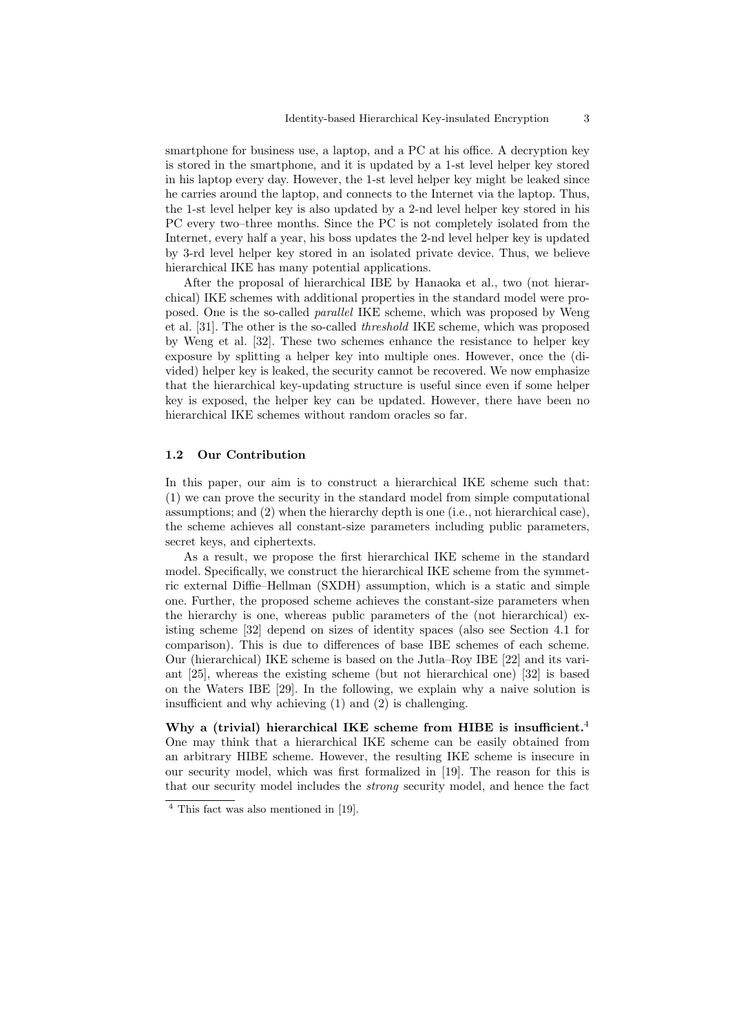smartphone for business use, a laptop, and a PC at his office. A decryption key is stored in the smartphone, and it is updated by a 1-st level helper key stored in his laptop every day. However, the 1-st level helper key might be leaked since he carries around the laptop, and connects to the Internet via the laptop. Thus, the 1-st level helper key is also updated by a 2-nd level helper key stored in his PC every two–three months. Since the PC is not completely isolated from the Internet, every half a year, his boss updates the 2-nd level helper key is updated by 3-rd level helper key stored in an isolated private device. Thus, we believe hierarchical IKE has many potential applications.

After the proposal of hierarchical IBE by Hanaoka et al., two (not hierarchical) IKE schemes with additional properties in the standard model were proposed. One is the so-called *parallel* IKE scheme, which was proposed by Weng et al. [31]. The other is the so-called *threshold* IKE scheme, which was proposed by Weng et al. [32]. These two schemes enhance the resistance to helper key exposure by splitting a helper key into multiple ones. However, once the (divided) helper key is leaked, the security cannot be recovered. We now emphasize that the hierarchical key-updating structure is useful since even if some helper key is exposed, the helper key can be updated. However, there have been no hierarchical IKE schemes without random oracles so far.

#### **1.2 Our Contribution**

In this paper, our aim is to construct a hierarchical IKE scheme such that: (1) we can prove the security in the standard model from simple computational assumptions; and (2) when the hierarchy depth is one (i.e., not hierarchical case), the scheme achieves all constant-size parameters including public parameters, secret keys, and ciphertexts.

As a result, we propose the first hierarchical IKE scheme in the standard model. Specifically, we construct the hierarchical IKE scheme from the symmetric external Diffie–Hellman (SXDH) assumption, which is a static and simple one. Further, the proposed scheme achieves the constant-size parameters when the hierarchy is one, whereas public parameters of the (not hierarchical) existing scheme [32] depend on sizes of identity spaces (also see Section 4.1 for comparison). This is due to differences of base IBE schemes of each scheme. Our (hierarchical) IKE scheme is based on the Jutla–Roy IBE [22] and its variant [25], whereas the existing scheme (but not hierarchical one) [32] is based on the Waters IBE [29]. In the following, we explain why a naive solution is insufficient and why achieving (1) and (2) is challenging.

**Why a (trivial) hierarchical IKE scheme from HIBE is insufficient.**<sup>4</sup> One may think that a hierarchical IKE scheme can be easily obtained from an arbitrary HIBE scheme. However, the resulting IKE scheme is insecure in our security model, which was first formalized in [19]. The reason for this is that our security model includes the *strong* security model, and hence the fact

<sup>4</sup> This fact was also mentioned in [19].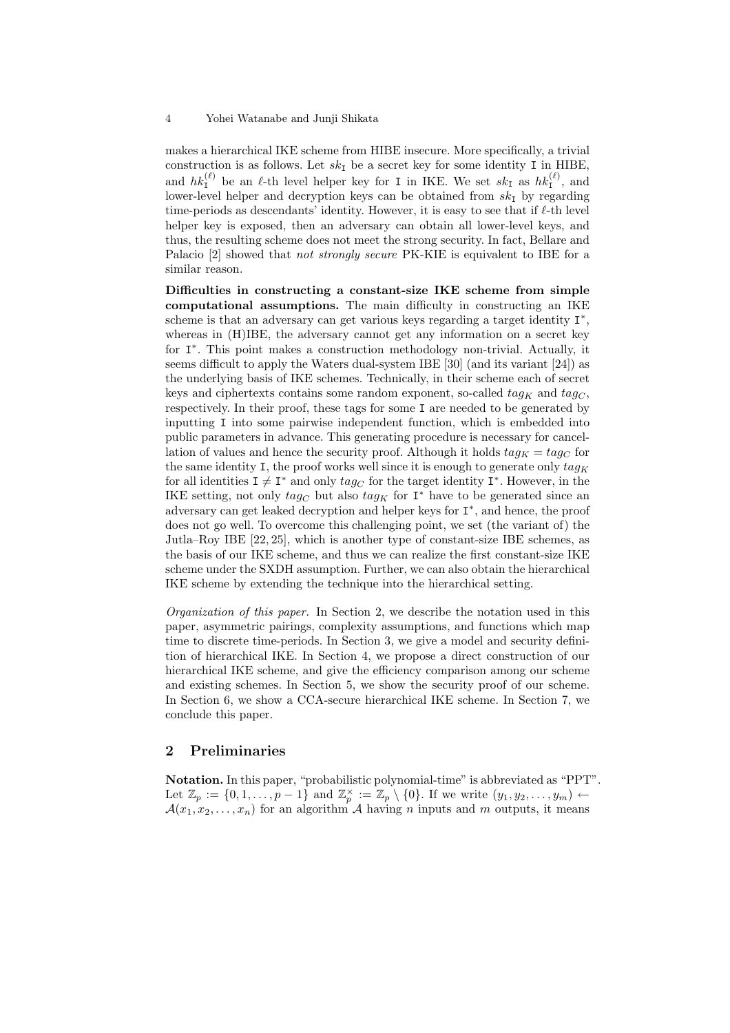makes a hierarchical IKE scheme from HIBE insecure. More specifically, a trivial construction is as follows. Let  $sk<sub>I</sub>$  be a secret key for some identity I in HIBE, and  $hk_1^{(\ell)}$  be an  $\ell$ -th level helper key for I in IKE. We set  $sk_1$  as  $hk_1^{(\ell)}$ , and lower-level helper and decryption keys can be obtained from  $sk_1$  by regarding time-periods as descendants' identity. However, it is easy to see that if *ℓ*-th level helper key is exposed, then an adversary can obtain all lower-level keys, and thus, the resulting scheme does not meet the strong security. In fact, Bellare and Palacio [2] showed that *not strongly secure* PK-KIE is equivalent to IBE for a similar reason.

**Difficulties in constructing a constant-size IKE scheme from simple computational assumptions.** The main difficulty in constructing an IKE scheme is that an adversary can get various keys regarding a target identity I *∗* , whereas in (H)IBE, the adversary cannot get any information on a secret key for I *∗* . This point makes a construction methodology non-trivial. Actually, it seems difficult to apply the Waters dual-system IBE [30] (and its variant [24]) as the underlying basis of IKE schemes. Technically, in their scheme each of secret keys and ciphertexts contains some random exponent, so-called  $tag_K$  and  $tag_G$ , respectively. In their proof, these tags for some I are needed to be generated by inputting I into some pairwise independent function, which is embedded into public parameters in advance. This generating procedure is necessary for cancellation of values and hence the security proof. Although it holds  $tag_K = tag_C$  for the same identity I, the proof works well since it is enough to generate only  $taq<sub>K</sub>$ for all identities  $I \neq I^*$  and only  $tag_C$  for the target identity  $I^*$ . However, in the IKE setting, not only  $tag<sub>C</sub>$  but also  $tag<sub>K</sub>$  for  $I^*$  have to be generated since an adversary can get leaked decryption and helper keys for I *∗* , and hence, the proof does not go well. To overcome this challenging point, we set (the variant of) the Jutla–Roy IBE [22, 25], which is another type of constant-size IBE schemes, as the basis of our IKE scheme, and thus we can realize the first constant-size IKE scheme under the SXDH assumption. Further, we can also obtain the hierarchical IKE scheme by extending the technique into the hierarchical setting.

*Organization of this paper.* In Section 2, we describe the notation used in this paper, asymmetric pairings, complexity assumptions, and functions which map time to discrete time-periods. In Section 3, we give a model and security definition of hierarchical IKE. In Section 4, we propose a direct construction of our hierarchical IKE scheme, and give the efficiency comparison among our scheme and existing schemes. In Section 5, we show the security proof of our scheme. In Section 6, we show a CCA-secure hierarchical IKE scheme. In Section 7, we conclude this paper.

# **2 Preliminaries**

**Notation.** In this paper, "probabilistic polynomial-time" is abbreviated as "PPT". Let  $\mathbb{Z}_p := \{0, 1, \ldots, p-1\}$  and  $\mathbb{Z}_p^{\times} := \mathbb{Z}_p \setminus \{0\}$ . If we write  $(y_1, y_2, \ldots, y_m) \leftarrow$  $\mathcal{A}(x_1, x_2, \ldots, x_n)$  for an algorithm  $\mathcal A$  having *n* inputs and *m* outputs, it means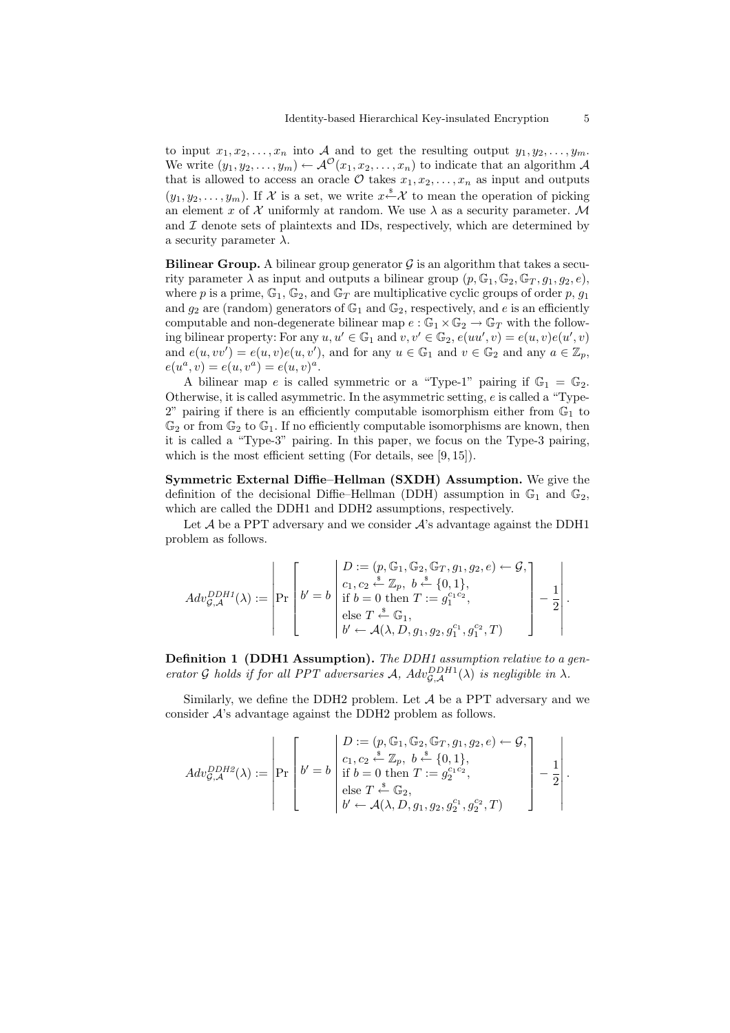to input  $x_1, x_2, \ldots, x_n$  into A and to get the resulting output  $y_1, y_2, \ldots, y_m$ . We write  $(y_1, y_2, \ldots, y_m) \leftarrow \mathcal{A}^{\mathcal{O}}(x_1, x_2, \ldots, x_n)$  to indicate that an algorithm  $\mathcal A$ that is allowed to access an oracle  $\mathcal O$  takes  $x_1, x_2, \ldots, x_n$  as input and outputs  $(y_1, y_2, \ldots, y_m)$ . If X is a set, we write  $x \stackrel{s}{\leftarrow} X$  to mean the operation of picking an element *x* of  $\mathcal X$  uniformly at random. We use  $\lambda$  as a security parameter. M and  $I$  denote sets of plaintexts and IDs, respectively, which are determined by a security parameter  $\lambda$ .

**Bilinear Group.** A bilinear group generator  $\mathcal{G}$  is an algorithm that takes a security parameter  $\lambda$  as input and outputs a bilinear group  $(p, \mathbb{G}_1, \mathbb{G}_2, \mathbb{G}_T, q_1, q_2, e)$ . where *p* is a prime,  $\mathbb{G}_1$ ,  $\mathbb{G}_2$ , and  $\mathbb{G}_T$  are multiplicative cyclic groups of order *p*,  $g_1$ and  $g_2$  are (random) generators of  $\mathbb{G}_1$  and  $\mathbb{G}_2$ , respectively, and *e* is an efficiently computable and non-degenerate bilinear map  $e : \mathbb{G}_1 \times \mathbb{G}_2 \to \mathbb{G}_T$  with the following bilinear property: For any  $u, u' \in \mathbb{G}_1$  and  $v, v' \in \mathbb{G}_2$ ,  $e(uu', v) = e(u, v)e(u', v)$ and  $e(u, vv') = e(u, v)e(u, v')$ , and for any  $u \in \mathbb{G}_1$  and  $v \in \mathbb{G}_2$  and any  $a \in \mathbb{Z}_p$ ,  $e(u^a, v) = e(u, v^a) = e(u, v)^a.$ 

A bilinear map *e* is called symmetric or a "Type-1" pairing if  $\mathbb{G}_1 = \mathbb{G}_2$ . Otherwise, it is called asymmetric. In the asymmetric setting, *e* is called a "Type- $2$ " pairing if there is an efficiently computable isomorphism either from  $\mathbb{G}_1$  to  $\mathbb{G}_2$  or from  $\mathbb{G}_2$  to  $\mathbb{G}_1$ . If no efficiently computable isomorphisms are known, then it is called a "Type-3" pairing. In this paper, we focus on the Type-3 pairing, which is the most efficient setting (For details, see [9, 15]).

**Symmetric External Diffie–Hellman (SXDH) Assumption.** We give the definition of the decisional Diffie–Hellman (DDH) assumption in  $\mathbb{G}_1$  and  $\mathbb{G}_2$ , which are called the DDH1 and DDH2 assumptions, respectively. ri i

Let  $A$  be a PPT adversary and we consider  $A$ 's advantage against the DDH1 problem as follows.

$$
Adv_{\mathcal{G},\mathcal{A}}^{DDH1}(\lambda) := \left| \Pr\left[b' = b \begin{bmatrix} D := (p,\mathbb{G}_1, \mathbb{G}_2, \mathbb{G}_T, g_1, g_2, e) \leftarrow \mathcal{G}, \\ c_1, c_2 \stackrel{*}{\leftarrow} \mathbb{Z}_p, \ b \stackrel{*}{\leftarrow} \{0,1\}, \\ \text{if } b = 0 \text{ then } T := g_1^{c_1c_2}, \\ \text{else } T \stackrel{*}{\leftarrow} \mathbb{G}_1, \\ b' \leftarrow \mathcal{A}(\lambda, D, g_1, g_2, g_1^{c_1}, g_1^{c_2}, T) \end{bmatrix} - \frac{1}{2} \right| \right|.
$$

**Definition 1 (DDH1 Assumption).** *The DDH1 assumption relative to a generator G holds if for all PPT adversaries A,*  $Adv_{\mathcal{G},\mathcal{A}}^{DDH1}(\lambda)$  *is negligible in*  $\lambda$ *.* 

Similarly, we define the DDH2 problem. Let  $A$  be a PPT adversary and we consider *A*'s advantage against the DDH2 problem as follows. 

$$
Adv_{\mathcal{G},\mathcal{A}}^{DDH2}(\lambda) := \left| \Pr\left[b' = b \left| \begin{array}{c} D := (p,\mathbb{G}_1,\mathbb{G}_2,\mathbb{G}_T,g_1,g_2,e) \leftarrow \mathcal{G}, \\ c_1,c_2 \stackrel{\hspace{0.1em}\mathsf{\scriptscriptstyle\$}}{\leftarrow} \mathbb{Z}_p, \ b \stackrel{\hspace{0.1em}\mathsf{\scriptscriptstyle\$}}{\leftarrow} \{0,1\}, \\ \text{if } b = 0 \text{ then } T := g_2^{c_1c_2}, \\ \text{else } T \stackrel{\hspace{0.1em}\mathsf{\scriptscriptstyle\$}}{\leftarrow} \mathbb{G}_2, \\ b' \leftarrow \mathcal{A}(\lambda,D,g_1,g_2,g_2^{c_1},g_2^{c_2},T) \end{array}\right] - \frac{1}{2} \right|.
$$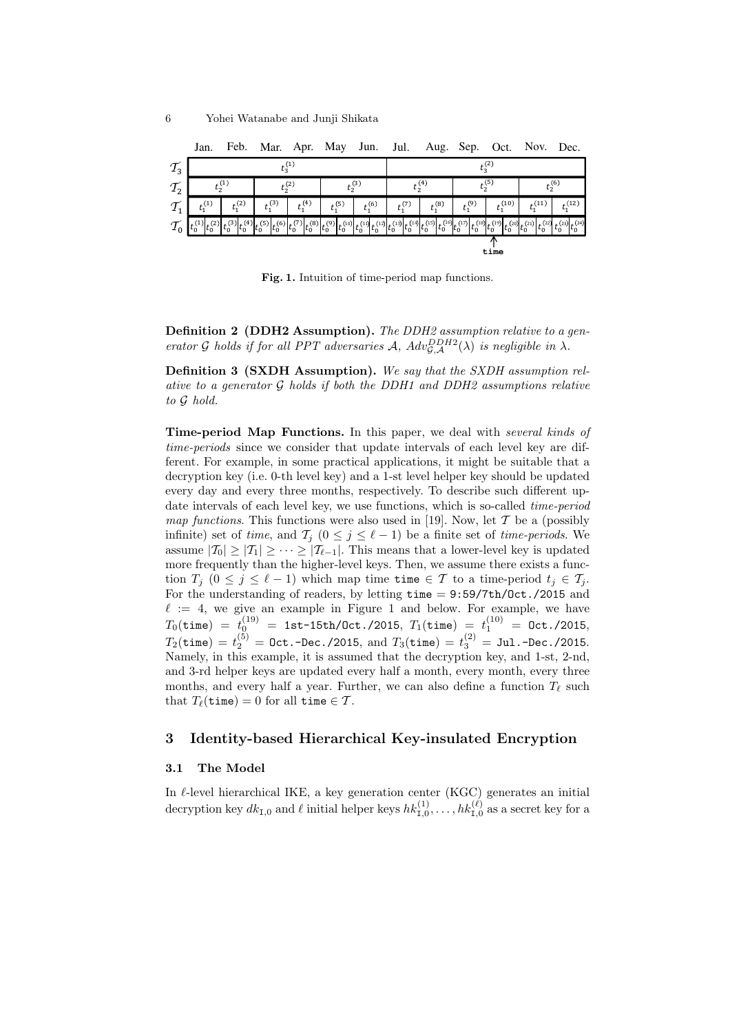|                               | Jan.                       |             | Feb. Mar. Apr. May Jun. Jul. Aug. Sep. Oct. Nov. Dec. |                                                  |             |              |             |                      |                                                                                  |              |              |                         |
|-------------------------------|----------------------------|-------------|-------------------------------------------------------|--------------------------------------------------|-------------|--------------|-------------|----------------------|----------------------------------------------------------------------------------|--------------|--------------|-------------------------|
| $\tau_{\scriptscriptstyle 3}$ | $t_2^{(1)}$                |             |                                                       |                                                  |             | $t_2^{(2)}$  |             |                      |                                                                                  |              |              |                         |
| $T_2$                         | $t_2^{(1)}$<br>$t_2^{(2)}$ |             |                                                       | $t_2^{(3)}$                                      |             | $t_2^{(4)}$  |             | $t_2^{(5)}$          |                                                                                  | $t_2^{(6)}$  |              |                         |
| $\tau_{1}$                    | $t_1^{(1)}$                | $t_1^{(2)}$ | $t_1^{(3)}$                                           | $t_1^{(4)}$                                      | $t_1^{(5)}$ | $t_1^{(6)}$  | $t_1^{(7)}$ | $t_1^{(8)}$          | $t_1^{(9)}$                                                                      | $t_1^{(10)}$ | $t_1^{(11)}$ | $t_1^{(12)}$            |
|                               |                            |             | (5)                                                   | $t_0^{(6)}t_0^{(7)}t_0^{(8)}t_0^{(9)}t_0^{(10)}$ |             | (11)<br>(12) |             | $(14)$ $(15)$ $(16)$ | <sup>(16)</sup> $t_0^{(17)}$ $t_0^{(18)}$ $t_0^{(19)}$ $t_0^{(19)}$ $t_0^{(20)}$ |              | (22)<br>(21) | $t_0^{(23)} t_0^{(24)}$ |
|                               |                            | time        |                                                       |                                                  |             |              |             |                      |                                                                                  |              |              |                         |

**Fig. 1.** Intuition of time-period map functions.

**Definition 2 (DDH2 Assumption).** *The DDH2 assumption relative to a generator G holds if for all PPT adversaries A,*  $Adv_{\mathcal{G},\mathcal{A}}^{DDH2}(\lambda)$  *is negligible in*  $\lambda$ *.* 

**Definition 3 (SXDH Assumption).** *We say that the SXDH assumption relative to a generator G holds if both the DDH1 and DDH2 assumptions relative to G hold.*

**Time-period Map Functions.** In this paper, we deal with *several kinds of time-periods* since we consider that update intervals of each level key are different. For example, in some practical applications, it might be suitable that a decryption key (i.e. 0-th level key) and a 1-st level helper key should be updated every day and every three months, respectively. To describe such different update intervals of each level key, we use functions, which is so-called *time-period map functions*. This functions were also used in [19]. Now, let *T* be a (possibly infinite) set of *time*, and  $\mathcal{T}_i$  ( $0 \leq j \leq \ell - 1$ ) be a finite set of *time-periods*. We assume  $|T_0| \geq |T_1| \geq \cdots \geq |T_{\ell-1}|$ . This means that a lower-level key is updated more frequently than the higher-level keys. Then, we assume there exists a function  $T_j$   $(0 \leq j \leq \ell - 1)$  which map time time  $\in \mathcal{T}$  to a time-period  $t_j \in \mathcal{T}_j$ . For the understanding of readers, by letting time = 9:59/7th/Oct./2015 and  $\ell := 4$ , we give an example in Figure 1 and below. For example, we have  $T_0({\tt time})\;=\;t_0^{(19)}\;=\;{\tt 1st\text{-}15th/0ct.}/2015,\; T_1({\tt time})\;=\;t_1^{(10)}\;=\;{\tt Oct.}/2015,$  $T_2({\tt time})$  =  $t_2^{(5)}$  = Oct.-Dec./2015, and  $T_3({\tt time})$  =  $t_3^{(2)}$  = Jul.-Dec./2015. Namely, in this example, it is assumed that the decryption key, and 1-st, 2-nd, and 3-rd helper keys are updated every half a month, every month, every three months, and every half a year. Further, we can also define a function  $T_{\ell}$  such that  $T_{\ell}(\text{time}) = 0$  for all time  $\in \mathcal{T}$ .

## **3 Identity-based Hierarchical Key-insulated Encryption**

#### **3.1 The Model**

In *ℓ*-level hierarchical IKE, a key generation center (KGC) generates an initial decryption key  $dk_{1,0}$  and  $\ell$  initial helper keys  $hk_{1,0}^{(1)}, \ldots, hk_{1,0}^{(\ell)}$  as a secret key for a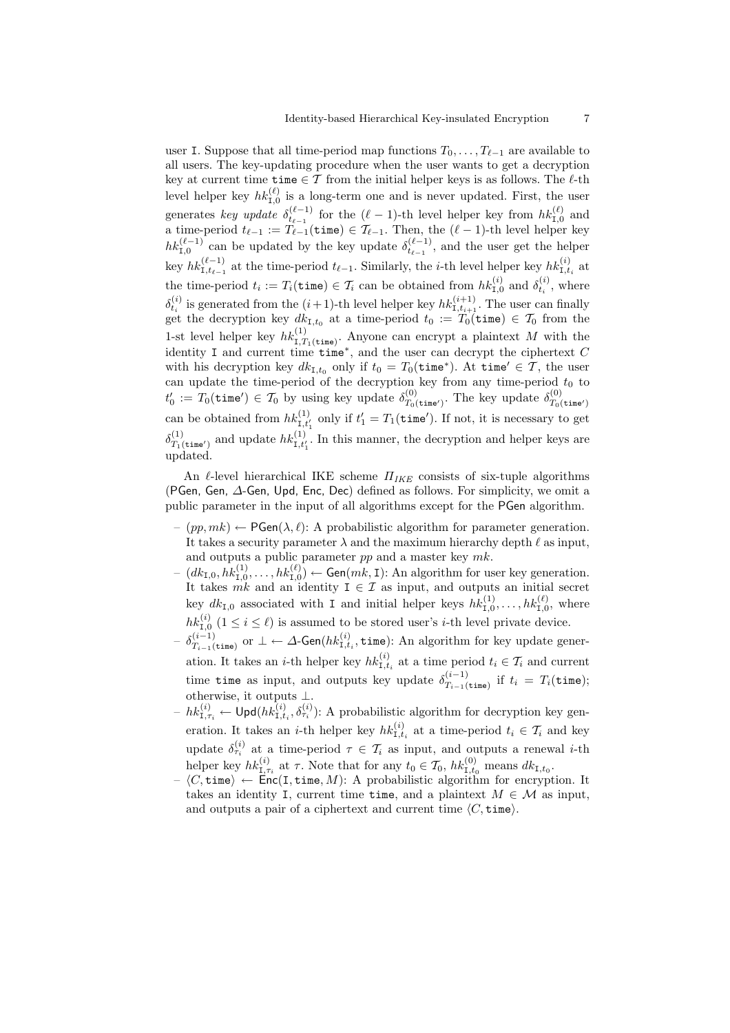user I. Suppose that all time-period map functions  $T_0, \ldots, T_{\ell-1}$  are available to all users. The key-updating procedure when the user wants to get a decryption key at current time time *∈ T* from the initial helper keys is as follows. The *ℓ*-th level helper key  $hk_{1,0}^{(\ell)}$  is a long-term one and is never updated. First, the user generates *key update*  $\delta_{t_{\ell-1}}^{(\ell-1)}$  for the  $(\ell-1)$ -th level helper key from  $hk_{1,0}^{(\ell)}$  and a time-period  $t_{\ell-1} := T_{\ell-1}(\text{time}) \in T_{\ell-1}$ . Then, the  $(\ell-1)$ -th level helper key  $hk_{1,0}^{(\ell-1)}$  can be updated by the key update  $\delta_{t_{\ell-1}}^{(\ell-1)}$ , and the user get the helper key  $hk_{1,t_{\ell-1}}^{(\ell-1)}$  at the time-period  $t_{\ell-1}$ . Similarly, the *i*-th level helper key  $hk_{1,t_i}^{(i)}$  at the time-period  $t_i := T_i(\text{time}) \in \mathcal{T}_i$  can be obtained from  $hk_{\text{I},0}^{(i)}$  and  $\delta_{t_i}^{(i)}$ , where  $\delta_{t_i}^{(i)}$  is generated from the  $(i+1)$ -th level helper key  $hk_{1,t_{i+1}}^{(i+1)}$ . The user can finally get the decryption key  $dk_{\text{I},t_0}$  at a time-period  $t_0 := T_0(\text{time}) \in \mathcal{T}_0$  from the 1-st level helper key  $hk_{I,T_1(\text{time})}^{(1)}$ . Anyone can encrypt a plaintext M with the identity I and current time time*<sup>∗</sup>* , and the user can decrypt the ciphertext *C* with his decryption key  $dk_{1,t_0}$  only if  $t_0 = T_0(\text{time}^*)$ . At  $\text{time}' \in \mathcal{T}$ , the user can update the time-period of the decryption key from any time-period  $t_0$  to  $t'_0 := T_0(\mathtt{time}') \in \mathcal{T}_0$  by using key update  $\delta_{T_0}^{(0)}$  $T_0(t)$ <sub>T0</sub>(time<sup>*'*</sup>)</sub>. The key update  $\delta_{T_0(t)}^{(0)}$ can be obtained from  $hk_{1,t'_1}^{(1)}$  only if  $t'_1 = T_1(\text{time}^{\prime})$ . If not, it is necessary to get  $\delta^{(1)}_{T_{10}}$  $T_1(t$ <sub>ine'</sub>) and update  $hk_{1,t'_1}^{(1)}$ . In this manner, the decryption and helper keys are updated.

An *ℓ*-level hierarchical IKE scheme *ΠIKE* consists of six-tuple algorithms (PGen, Gen, *∆*-Gen, Upd, Enc, Dec) defined as follows. For simplicity, we omit a public parameter in the input of all algorithms except for the PGen algorithm.

- (*pp, mk*) *←* PGen(*λ, ℓ*): A probabilistic algorithm for parameter generation. It takes a security parameter  $\lambda$  and the maximum hierarchy depth  $\ell$  as input, and outputs a public parameter *pp* and a master key *mk*.
- $I_d = (dk_{\text{I},0}, hk_{\text{I},0}^{(1)}, \ldots, hk_{\text{I},0}^{(\ell)}) \leftarrow \text{Gen}(mk, \text{I})$ : An algorithm for user key generation. It takes  $mk$  and an identity  $I \in \mathcal{I}$  as input, and outputs an initial secret key  $dk_{1,0}$  associated with I and initial helper keys  $hk_{1,0}^{(1)}, \ldots, hk_{1,0}^{(\ell)}$ , where  $hk_{1,0}^{(i)}$   $(1 \leq i \leq \ell)$  is assumed to be stored user's *i*-th level private device.
- $\delta^{(i-1)}_{T_{i-1}(\cdot)}$  $T_{i-1}$ (time) or *⊥* ← *∆*-Gen( $hk_{\mathrm{I},t_i}^{(i)}$ , time): An algorithm for key update generation. It takes an *i*-th helper key  $hk_{1,t_i}^{(i)}$  at a time period  $t_i \in \mathcal{T}_i$  and current time time as input, and outputs key update  $\delta_{T_{i-1}}^{(i-1)}$  $T_{i-1}$ (time) if  $t_i = T_i$ (time); otherwise, it outputs *⊥*.
- $-hk_{\mathbf{I},\tau_i}^{(i)} \leftarrow \mathsf{Upd}(hk_{\mathbf{I},t_i}^{(i)},\delta_{\tau_i}^{(i)})$ : A probabilistic algorithm for decryption key generation. It takes an *i*-th helper key  $hk_{1,t_i}^{(i)}$  at a time-period  $t_i \in \mathcal{T}_i$  and key update  $\delta_{\tau_i}^{(i)}$  at a time-period  $\tau \in \mathcal{T}_i$  as input, and outputs a renewal *i*-th helper key  $hk_{1,\tau_i}^{(i)}$  at  $\tau$ . Note that for any  $t_0 \in \mathcal{T}_0$ ,  $hk_{1,t_0}^{(0)}$  means  $dk_{1,t_0}$ .
- *⟨C,* time*⟩ ←* Enc(I*,* time*, M*): A probabilistic algorithm for encryption. It takes an identity I, current time time, and a plaintext  $M \in \mathcal{M}$  as input, and outputs a pair of a ciphertext and current time  $\langle C, \text{time} \rangle$ .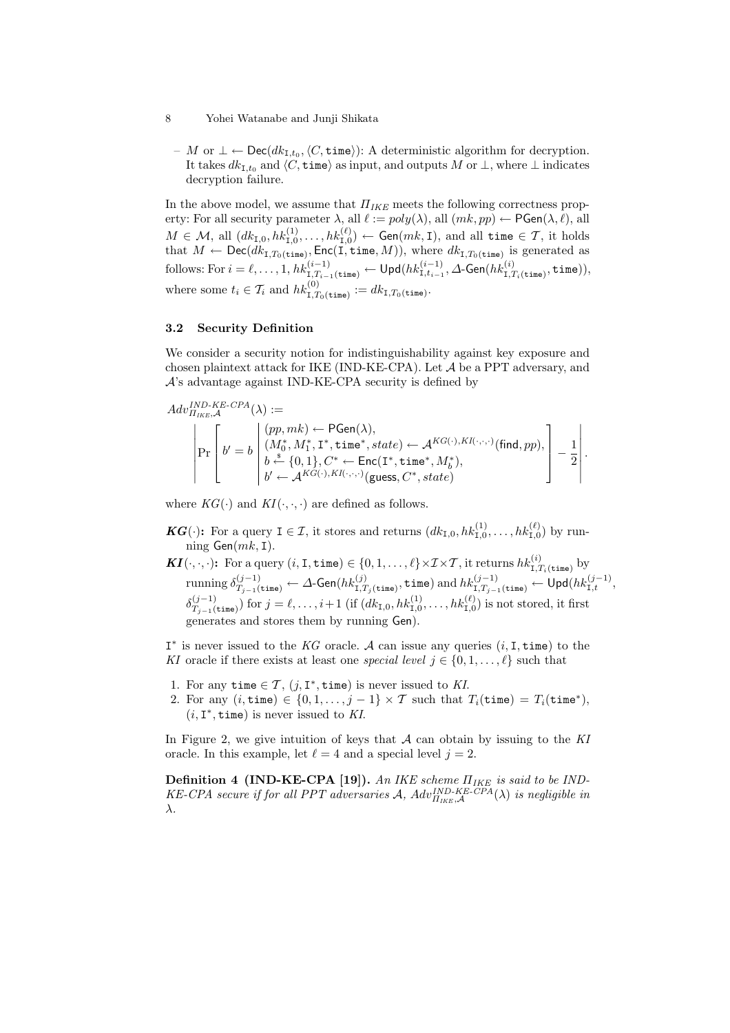- 8 Yohei Watanabe and Junji Shikata
	- *M* or *⊥ ←* Dec(*dk*I*,t*<sup>0</sup> *,⟨C,* time*⟩*): A deterministic algorithm for decryption. It takes  $dk_{\text{I},t_0}$  and  $\langle C,\text{time}\rangle$  as input, and outputs *M* or  $\perp$ , where  $\perp$  indicates decryption failure.

In the above model, we assume that *ΠIKE* meets the following correctness property: For all security parameter  $\lambda$ , all  $\ell := poly(\lambda)$ , all  $(mk, pp) \leftarrow \mathsf{PGen}(\lambda, \ell)$ , all  $M \in \mathcal{M}$ , all  $(dk_{\mathtt{I},0}, hk_{\mathtt{I},0}^{(1)}, \ldots, hk_{\mathtt{I},0}^{(\ell)}) \leftarrow \mathsf{Gen}(mk,\mathtt{I}),$  and all time  $\in \mathcal{T},$  it holds that  $M \leftarrow \mathsf{Dec}(dk_{\mathbf{I},T_0(\mathtt{time})}, \mathsf{Enc}(\mathbf{I},\mathtt{time},M)),$  where  $dk_{\mathbf{I},T_0(\mathtt{time})}$  is generated as follows: For  $i=\ell,\ldots,1,\mathit{hk}^{(i-1)}_{\mathrm{I},T_{i-1}(\mathtt{time})}\leftarrow\mathsf{Upd}(\mathit{hk}^{(i-1)}_{\mathrm{I},t_{i-1}},\varDelta\text{-Gen}(\mathit{hk}^{(i)}_{\mathrm{I},T_{i}(\mathtt{time})},\mathtt{time})),$ where some  $t_i \in \mathcal{T}_i$  and  $hk_{1,T_0(\text{time})}^{(0)} := dk_{1,T_0(\text{time})}$ .

### **3.2 Security Definition**

We consider a security notion for indistinguishability against key exposure and chosen plaintext attack for IKE (IND-KE-CPA). Let *A* be a PPT adversary, and  $\mathcal{A}$ 's advantage against IND-KE-CPA security is defined by

$$
Adv^{IND\text{-}KE\text{-}CPA}_{I_{IKE},\mathcal{A}}(\lambda) := \\ \begin{vmatrix} \begin{matrix} (pp,mk) \leftarrow \mathsf{PGen}(\lambda), \\ (M_0^*,M_1^*,\mathbf{1}^*,\mathbf{time}^*,\mathit{state}) \leftarrow \mathcal{A}^{KG(\cdot),KI(\cdot,\cdot,\cdot)}(\mathsf{find},pp), \\ b \stackrel{\$} \leftarrow \{0,1\}, C^* \leftarrow \mathsf{Enc}(\mathbf{I}^*,\mathbf{time}^*,M_b^*), \\ b' \leftarrow \mathcal{A}^{KG(\cdot),KI(\cdot,\cdot,\cdot)}(\mathsf{guess},C^*,\mathit{state}) \end{matrix} \end{vmatrix} - \frac{1}{2} \end{vmatrix}.
$$

where  $KG(\cdot)$  and  $KI(\cdot, \cdot, \cdot)$  are defined as follows.

- *KG*( $\cdot$ ): For a query  $I \in \mathcal{I}$ , it stores and returns  $(dk_{I,0}, hk_{I,0}^{(1)}, \ldots, hk_{I,0}^{(\ell)})$  by running Gen(*mk,* I).
- $\boldsymbol{KI}(\cdot,\cdot,\cdot)$ : For a query  $(i,\mathtt{I},\mathtt{time})\in\{0,1,\ldots,\ell\}\times\mathcal{I}\times\mathcal{T},$  it returns  $hk_{\mathtt{I},T_i(\mathtt{time})}^{(i)}$  by  $\text{running } \delta^{(j-1)}_{T_{j-1}(\texttt{time})} \leftarrow \Delta\text{-Gen}(hk^{(j)}_{\texttt{I}, T_j(\texttt{time})}, \texttt{time}) \text{ and } hk^{(j-1)}_{\texttt{I}, T_{j-1}(\texttt{time})} \leftarrow \textsf{Upd}(hk^{(j-1)}_{\texttt{I},t},$  $\delta_T^{(j-1)}$  $(T_{j-1}^{(j-1)})$  for  $j = \ell, \ldots, i+1$  (if  $(dk_{I,0}, hk_{I,0}^{(1)}, \ldots, hk_{I,0}^{(\ell)})$  is not stored, it first generates and stores them by running Gen).

I *∗* is never issued to the *KG* oracle. *A* can issue any queries (*i,* I*,* time) to the *KI* oracle if there exists at least one *special level*  $j \in \{0, 1, \ldots, \ell\}$  such that

- 1. For any time  $\in \mathcal{T}$ ,  $(j, I^*,$  time) is never issued to *KI*.
- 2. For any  $(i, \text{time}) \in \{0, 1, \ldots, j-1\} \times \mathcal{T}$  such that  $T_i(\text{time}) = T_i(\text{time}^*),$  $(i, I^*, time)$  is never issued to KI.

In Figure 2, we give intuition of keys that *A* can obtain by issuing to the *KI* oracle. In this example, let  $\ell = 4$  and a special level  $j = 2$ .

**Definition 4 (IND-KE-CPA [19]).** *An IKE scheme ΠIKE is said to be IND-KE-CPA secure if for all PPT adversaries A,*  $Adv_{\Pi_{IKE},\mathcal{A}}^{IND-KE-CPA}(\lambda)$  *is negligible in λ.*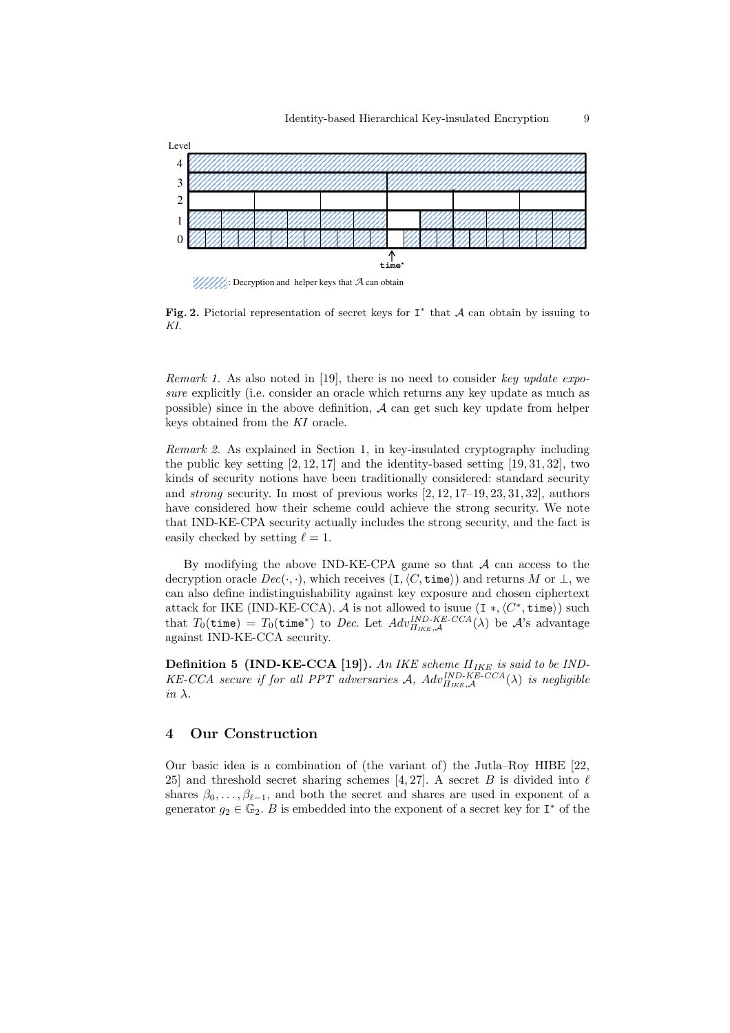

 $\mathcal{U}/\mathcal{U}/\mathcal{U}$ : Decryption and helper keys that  $\mathcal{A}$  can obtain

**Fig. 2.** Pictorial representation of secret keys for I *∗* that *A* can obtain by issuing to *KI*.

*Remark 1.* As also noted in [19], there is no need to consider *key update exposure* explicitly (i.e. consider an oracle which returns any key update as much as possible) since in the above definition, *A* can get such key update from helper keys obtained from the *KI* oracle.

*Remark 2.* As explained in Section 1, in key-insulated cryptography including the public key setting  $[2, 12, 17]$  and the identity-based setting  $[19, 31, 32]$ , two kinds of security notions have been traditionally considered: standard security and *strong* security. In most of previous works [2, 12, 17–19, 23, 31, 32], authors have considered how their scheme could achieve the strong security. We note that IND-KE-CPA security actually includes the strong security, and the fact is easily checked by setting  $\ell = 1$ .

By modifying the above IND-KE-CPA game so that *A* can access to the decryption oracle  $Dec(\cdot, \cdot)$ , which receives  $(I, \langle C, \text{time} \rangle)$  and returns *M* or  $\perp$ , we can also define indistinguishability against key exposure and chosen ciphertext attack for IKE (IND-KE-CCA).  $\mathcal A$  is not allowed to isuue  $(\texttt{I}*, \langle C^*, \texttt{time} \rangle)$  such that  $T_0(\text{time}) = T_0(\text{time}^*)$  to *Dec.* Let  $Adv^{IND-KE-CCA}_{H_{IKE},\mathcal{A}}(\lambda)$  be  $\mathcal{A}$ 's advantage against IND-KE-CCA security.

**Definition 5 (IND-KE-CCA [19]).** *An IKE scheme ΠIKE is said to be IND-* $KE-CCA$  *secure if for all PPT adversaries A*,  $Adv_{H_{IKE},\mathcal{A}}^{IND-KE-CCA}(\lambda)$  *is negligible in λ.*

# **4 Our Construction**

Our basic idea is a combination of (the variant of) the Jutla–Roy HIBE [22, 25] and threshold secret sharing schemes [4, 27]. A secret  $B$  is divided into  $\ell$ shares  $\beta_0, \ldots, \beta_{\ell-1}$ , and both the secret and shares are used in exponent of a generator  $g_2 \in \mathbb{G}_2$ . *B* is embedded into the exponent of a secret key for  $I^*$  of the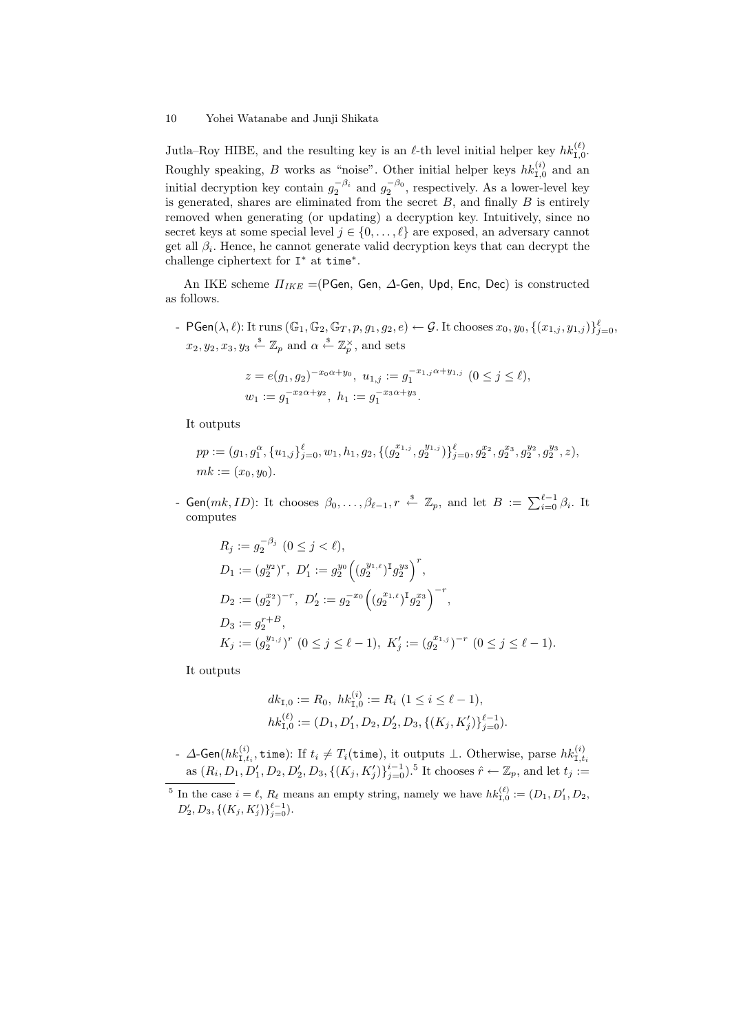Jutla–Roy HIBE, and the resulting key is an  $\ell$ -th level initial helper key  $hk_{1,0}^{(\ell)}$ . Roughly speaking, *B* works as "noise". Other initial helper keys  $hk_{1,0}^{(i)}$  and an initial decryption key contain  $g_2^{-\beta_i}$  and  $g_2^{-\beta_0}$ , respectively. As a lower-level key is generated, shares are eliminated from the secret *B*, and finally *B* is entirely removed when generating (or updating) a decryption key. Intuitively, since no secret keys at some special level  $j \in \{0, \ldots, \ell\}$  are exposed, an adversary cannot get all *β<sup>i</sup>* . Hence, he cannot generate valid decryption keys that can decrypt the challenge ciphertext for I *<sup>∗</sup>* at time*<sup>∗</sup>* .

An IKE scheme *ΠIKE* =(PGen, Gen, *∆*-Gen, Upd, Enc, Dec) is constructed as follows.

-  $\mathsf{PGen}(\lambda,\ell)$ : It runs  $(\mathbb{G}_1,\mathbb{G}_2,\mathbb{G}_T,p,g_1,g_2,e)\leftarrow \mathcal{G}$ . It chooses  $x_0,y_0,\{(x_{1,j},y_{1,j})\}_{j=0}^{\ell},$  $x_2, y_2, x_3, y_3 \stackrel{*}{\leftarrow} \mathbb{Z}_p$  and  $\alpha \stackrel{*}{\leftarrow} \mathbb{Z}_p^{\times}$ , and sets

$$
z = e(g_1, g_2)^{-x_0 \alpha + y_0}, \ u_{1,j} := g_1^{-x_{1,j} \alpha + y_{1,j}} \ (0 \le j \le \ell),
$$
  

$$
w_1 := g_1^{-x_2 \alpha + y_2}, \ h_1 := g_1^{-x_3 \alpha + y_3}.
$$

It outputs

$$
pp := (g_1, g_1^{\alpha}, \{u_{1,j}\}_{j=0}^{\ell}, w_1, h_1, g_2, \{(g_2^{x_{1,j}}, g_2^{y_{1,j}})\}_{j=0}^{\ell}, g_2^{x_2}, g_2^{x_3}, g_2^{y_2}, g_2^{y_3}, z),
$$
  
\n*mk* := (*x*<sub>0</sub>, *y*<sub>0</sub>).  
\n- Gen(*mk*, *ID*): It chooses  $\beta_0, \ldots, \beta_{\ell-1}, r \stackrel{\text{s}}{\leftarrow} \mathbb{Z}_p$ , and let  $B := \sum_{i=0}^{\ell-1} \beta_i$ . It

computes

$$
R_j := g_2^{-\beta_j} \ (0 \le j < \ell),
$$
\n
$$
D_1 := (g_2^{y_2})^r, \ D'_1 := g_2^{y_0} \left( (g_2^{y_{1,\ell}})^{\mathsf{T}} g_2^{y_3} \right)^r,
$$
\n
$$
D_2 := (g_2^{x_2})^{-r}, \ D'_2 := g_2^{-x_0} \left( (g_2^{x_{1,\ell}})^{\mathsf{T}} g_2^{x_3} \right)^{-r},
$$
\n
$$
D_3 := g_2^{r+B},
$$
\n
$$
K_j := (g_2^{y_{1,j}})^r \ (0 \le j \le \ell - 1), \ K'_j := (g_2^{x_{1,j}})^{-r} \ (0 \le j \le \ell - 1).
$$

It outputs

$$
dk_{1,0} := R_0, \ hk_{1,0}^{(i)} := R_i \ (1 \le i \le \ell - 1),
$$
  

$$
hk_{1,0}^{(\ell)} := (D_1, D_1', D_2, D_2', D_3, \{(K_j, K_j')\}_{j=0}^{\ell-1}).
$$

*, ∆*-Gen( $hk_{\textrm{I},t_{i}}^{(i)}$ , time): If  $t_{i} \neq T_{i}$ (time), it outputs ⊥. Otherwise, parse  $hk_{\textrm{I},t_{i}}^{(i)}$ as  $(R_i, D_1, D'_1, D_2, D'_2, D_3, \{(K_j, K'_j)\}_{j=0}^{i-1})$ .<sup>5</sup> It chooses  $\hat{r} \leftarrow \mathbb{Z}_p$ , and let  $t_j :=$ 

<sup>&</sup>lt;sup>5</sup> In the case  $i = \ell$ ,  $R_{\ell}$  means an empty string, namely we have  $hk_{1,0}^{(\ell)} := (D_1, D'_1, D_2,$  $D'_2, D_3, \{(K_j, K'_j)\}_{j=0}^{\ell-1}$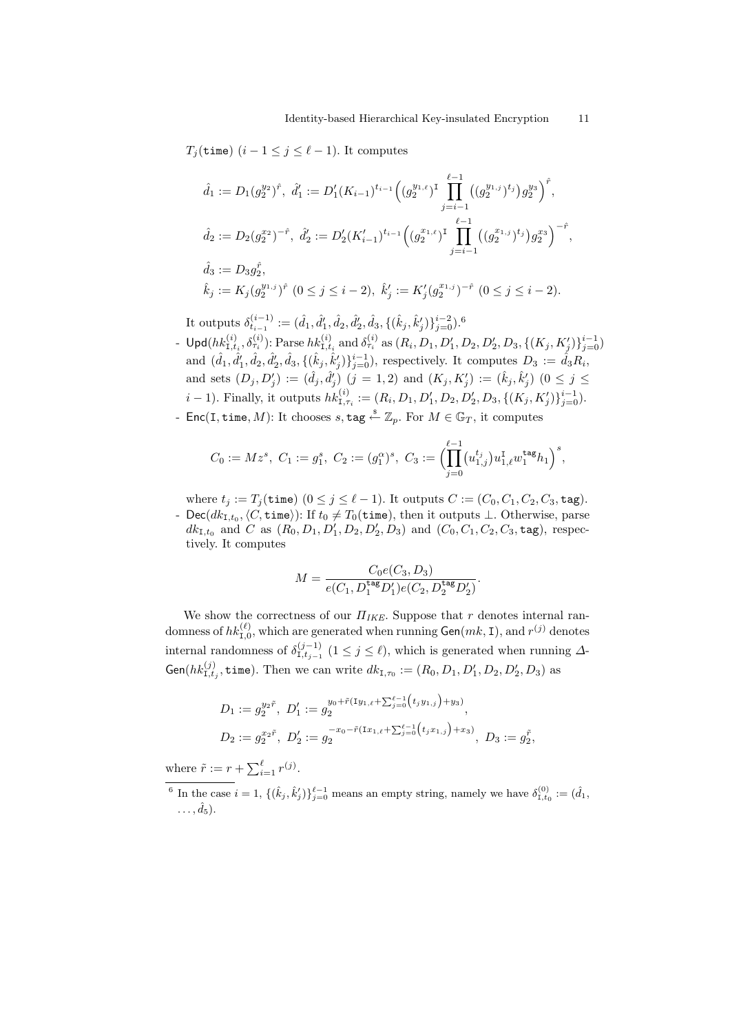### *T*<sub>*j*</sub>(time)  $(i-1 \leq j \leq \ell-1)$ . It computes

$$
\hat{d}_1 := D_1(g_2^{y_2})^{\hat{r}}, \ \hat{d}'_1 := D'_1(K_{i-1})^{t_{i-1}} \Big( (g_2^{y_{1,\ell}})^{\text{T}} \prod_{j=i-1}^{\ell-1} ((g_2^{y_{1,j}})^{t_j}) g_2^{y_3} \Big)^{\hat{r}},
$$
  

$$
\hat{d}_2 := D_2(g_2^{x_2})^{-\hat{r}}, \ \hat{d}'_2 := D'_2(K'_{i-1})^{t_{i-1}} \Big( (g_2^{x_{1,\ell}})^{\text{T}} \prod_{j=i-1}^{\ell-1} ((g_2^{x_{1,j}})^{t_j}) g_2^{x_3} \Big)^{-\hat{r}},
$$
  

$$
\hat{d}_3 := D_3 g_2^{\hat{r}},
$$
  

$$
\hat{k}_j := K_j(g_2^{y_{1,j}})^{\hat{r}} \ (0 \le j \le i-2), \ \hat{k}'_j := K'_j(g_2^{x_{1,j}})^{-\hat{r}} \ (0 \le j \le i-2).
$$

It outputs  $\delta^{(i-1)}_{t_{i-1}}:=(\hat{d}_1,\hat{d}'_1,\hat{d}_2,\hat{d}'_2,\hat{d}_3,\{(\hat{k}_j,\hat{k}'_j)\}_{j=0}^{i-2})$ .<sup>6</sup>

- $\mathsf{Upd}(hk_{1,t_i}^{(i)},\delta_{\tau_i}^{(i)})$ : Parse  $hk_{1,t_i}^{(i)}$  and  $\delta_{\tau_i}^{(i)}$  as  $(R_i,D_1,D'_1,D_2,D'_2,D_3,\{(K_j,K'_j)\}_{j=0}^{i-1})$ and  $(\hat{d}_1, \hat{d}'_1, \hat{d}_2, \hat{d}'_2, \hat{d}_3, \{(\hat{k}_j, \hat{k}'_j)\}_{j=0}^{i-1}),$  respectively. It computes  $D_3 := \hat{d}_3 R_i$ , and sets  $(D_j, D'_j) := (\hat{d}_j, \hat{d}'_j)$   $(j = 1, 2)$  and  $(K_j, K'_j) := (\hat{k}_j, \hat{k}'_j)$   $(0 \le j \le j)$ *i* - 1). Finally, it outputs  $hk_{1,\tau_i}^{(i)} := (R_i, D_1, D'_1, D_2, D'_2, D_3, \{(K_j, K'_j)\}_{j=0}^{i-1})$ .<br>
Enc(I, time, *M*): It chooses *s*, tag  $\stackrel{\text{s}}{\leftarrow} \mathbb{Z}_p$ . For  $M \in \mathbb{G}_T$ , it computes<br>  $C_0 := Mz^s$ ,  $C_1 := g_1^s$ ,  $C_2 := (g_1^{\alpha})^$
- Enc(I*,* time*, M*): It chooses *s,* tag \$*←* Z*p*. For *M ∈* G*<sup>T</sup>* , it computes

$$
C_0:=Mz^s, \ C_1:=g_1^s, \ C_2:=(g_1^\alpha)^s, \ C_3:=\Bigl(\prod_{j=0}^{\ell-1} \bigl(u_{1,j}^{t_j}\bigr)u_{1,\ell}^{\rm I}w_1^{\rm tag}h_1\Bigr)^s,
$$

where  $t_j := T_j(\texttt{time})$   $(0 \leq j \leq \ell - 1)$ . It outputs  $C := (C_0, C_1, C_2, C_3, \texttt{tag}).$ 

*-* Dec( $dk_{\text{I},t_0}, \langle C, \text{time} \rangle$ ): If  $t_0 \neq T_0(\text{time})$ , then it outputs ⊥. Otherwise, parse  $dk_{\text{I},t_0}$  and *C* as  $(R_0, D_1, D'_1, D_2, D'_2, D_3)$  and  $(C_0, C_1, C_2, C_3, \text{tag})$ , respectively. It computes

$$
M = \frac{C_0 e(C_3, D_3)}{e(C_1, D_1^{\text{tag}} D_1')e(C_2, D_2^{\text{tag}} D_2')}.
$$

We show the correctness of our *ΠIKE*. Suppose that *r* denotes internal randomness of  $hk_{1,0}^{(\ell)},$  which are generated when running  $\mathsf{Gen}(mk, \mathsf{I}),$  and  $r^{(j)}$  denotes internal randomness of  $\delta_{I,t_{j-1}}^{(j-1)}$  (1 ≤ *j* ≤  $\ell$ ), which is generated when running  $\Delta$ which is  $j_0 := (R_0,$ <br>  $\frac{\ell-1}{j=0}(t_jy_{1,j})$ 

Gen(
$$
hk_{1,t_j}^{(j)}
$$
, **time**). Then we can write  $dk_{1,\tau_0} := (R_0, D_1, D'_1, D_2, D'_2, D_3)$  as  
\n
$$
D_1 := g_2^{y_2 \tilde{r}}, D'_1 := g_2^{y_0 + \tilde{r}(Iy_{1,\ell} + \sum_{j=0}^{\ell-1} (t_jy_{1,j}) + y_3)},
$$
\n
$$
D_2 := g_2^{x_2 \tilde{r}}, D'_2 := g_2^{-x_0 - \tilde{r}(Ix_{1,\ell} + \sum_{j=0}^{\ell-1} (t_jx_{1,j}) + x_3)}, D_3 := g_2^{\tilde{r}},
$$

where  $\tilde{r} := r + \sum_{i=1}^{\ell} r^{(j)}$ .

<sup>6</sup> In the case  $i = 1$ ,  $\{(\hat{k}_j, \hat{k}'_j)\}_{j=0}^{\ell-1}$  means an empty string, namely we have  $\delta_{1,t_0}^{(0)} := (\hat{d}_1, t_0)$  $\ldots$ ,  $\hat{d}_5$ ).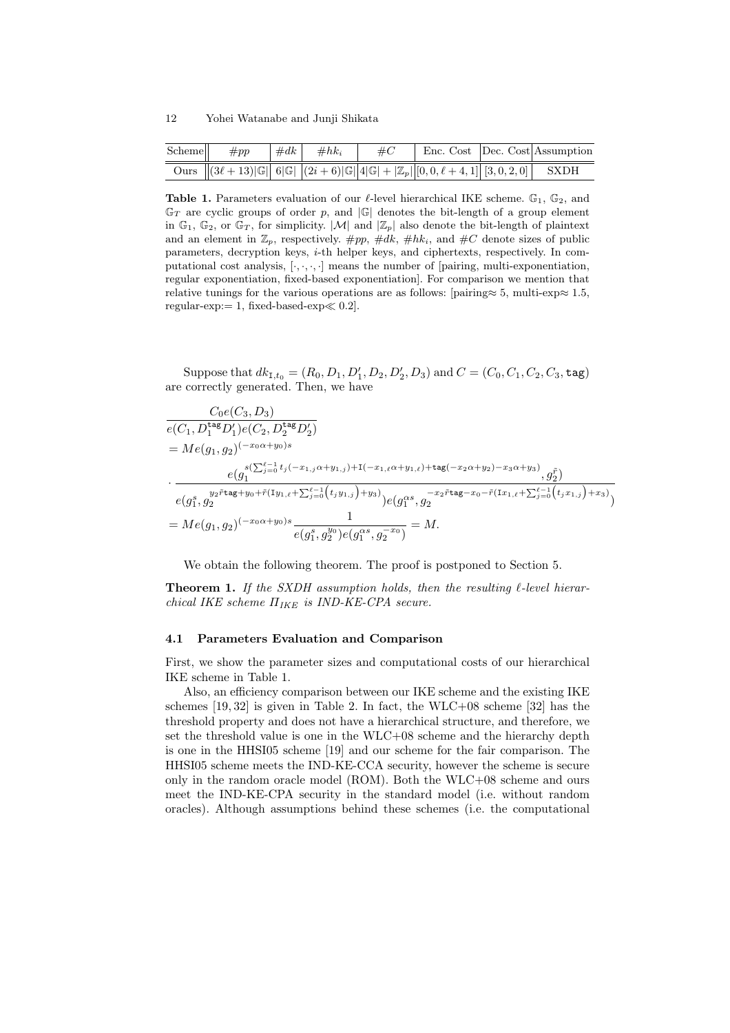| Scheme | $\#pp$ | $\#dk$ $\#hk_i$ | $\#C$ |                                                                                          | Enc. Cost Dec. Cost Assumption |
|--------|--------|-----------------|-------|------------------------------------------------------------------------------------------|--------------------------------|
|        |        |                 |       | Ours $  (3\ell+13)  G  $ 6 G  $ (2i+6)  G  /4 G  +  Z_p  [0,0,\ell+4,1] [3,0,2,0] $ SXDH |                                |

**Table 1.** Parameters evaluation of our  $\ell$ -level hierarchical IKE scheme.  $\mathbb{G}_1$ ,  $\mathbb{G}_2$ , and  $\mathbb{G}_T$  are cyclic groups of order p, and  $|\mathbb{G}|$  denotes the bit-length of a group element in  $\mathbb{G}_1$ ,  $\mathbb{G}_2$ , or  $\mathbb{G}_T$ , for simplicity.  $|\mathcal{M}|$  and  $|\mathbb{Z}_p|$  also denote the bit-length of plaintext and an element in  $\mathbb{Z}_p$ , respectively.  $\#pp$ ,  $\#dk$ ,  $\#hk_i$ , and  $\#C$  denote sizes of public parameters, decryption keys, *i*-th helper keys, and ciphertexts, respectively. In computational cost analysis, [*·, ·, ·, ·*] means the number of [pairing, multi-exponentiation, regular exponentiation, fixed-based exponentiation]. For comparison we mention that relative tunings for the various operations are as follows: [pairing*≈* 5, multi-exp*≈* 1*.*5, regular-exp:= 1, fixed-based-exp*≪* 0*.*2].

Suppose that  $dk_{1,t_0} = (R_0, D_1, D'_1, D_2, D'_2, D_3)$  and  $C = (C_0, C_1, C_2, C_3, \texttt{tag})$ are correctly generated. Then, we have

$$
\frac{C_0e(C_3, D_3)}{e(C_1, D_1^{\text{tag}} D_1')e(C_2, D_2^{\text{tag}} D_2')}
$$
\n
$$
= Me(g_1, g_2)^{(-x_0\alpha+y_0)s}
$$
\n
$$
\cdot \frac{e(g_1^{s(\sum_{j=0}^{\ell-1} t_j(-x_{1,j}\alpha+y_{1,j})+1(-x_{1,\ell}\alpha+y_{1,\ell})+\text{tag}(-x_2\alpha+y_2)-x_3\alpha+y_3)}{e(g_1^s, g_2^{y_2\text{tag}}+y_0+\tilde{r}(1y_{1,\ell}+\sum_{j=0}^{\ell-1} (t_jy_{1,j})+y_3))e(g_1^{\alpha s}, g_2^{-x_2\text{tag}}-x_0-\tilde{r}(1x_{1,\ell}+\sum_{j=0}^{\ell-1} (t_jx_{1,j})+x_3)})
$$
\n
$$
= Me(g_1, g_2)^{(-x_0\alpha+y_0)s} \frac{1}{e(g_1^s, g_2^{y_0})e(g_1^{\alpha s}, g_2^{-x_0})} = M.
$$

We obtain the following theorem. The proof is postponed to Section 5.

**Theorem 1.** *If the SXDH assumption holds, then the resulting ℓ-level hierarchical IKE scheme ΠIKE is IND-KE-CPA secure.*

#### **4.1 Parameters Evaluation and Comparison**

First, we show the parameter sizes and computational costs of our hierarchical IKE scheme in Table 1.

Also, an efficiency comparison between our IKE scheme and the existing IKE schemes [19, 32] is given in Table 2. In fact, the WLC+08 scheme [32] has the threshold property and does not have a hierarchical structure, and therefore, we set the threshold value is one in the WLC+08 scheme and the hierarchy depth is one in the HHSI05 scheme [19] and our scheme for the fair comparison. The HHSI05 scheme meets the IND-KE-CCA security, however the scheme is secure only in the random oracle model (ROM). Both the WLC+08 scheme and ours meet the IND-KE-CPA security in the standard model (i.e. without random oracles). Although assumptions behind these schemes (i.e. the computational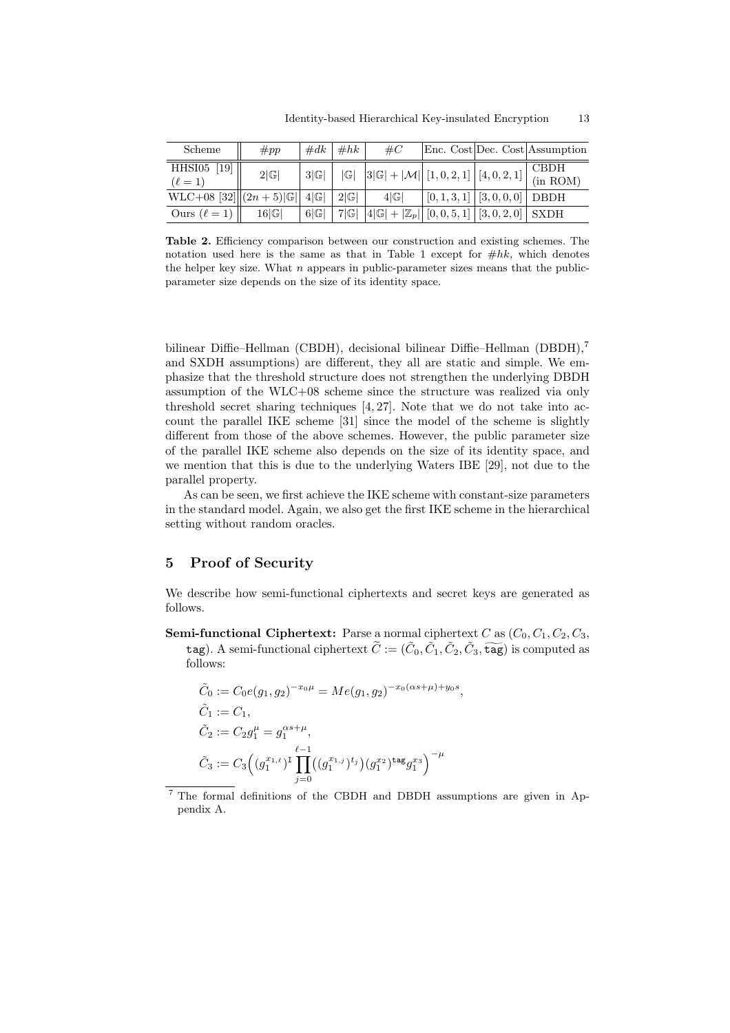| Scheme                                              | $\#pp$          | $\#dk$ | #hk | $\#C$                                                                             |                                                          | Enc. Cost Dec. Cost Assumption |
|-----------------------------------------------------|-----------------|--------|-----|-----------------------------------------------------------------------------------|----------------------------------------------------------|--------------------------------|
| HHSI05<br>$\left[19\right]$<br>$(\ell = 1)$         | $2 \mathbb{G} $ | 3 G    | G   | $3 \mathbb{G}  +  \mathcal{M}  \big  [1, 0, 2, 1] \big  [4, 0, 2, 1] \big $       |                                                          | <b>CBDH</b><br>(in ROM)        |
| WLC+08 [32] $  (2n+5) \mathbb{G}  $ 4  $\mathbb{G}$ |                 |        | 2 G | 4 G                                                                               | $\left[0, 1, 3, 1\right]$ $\left[3, 0, 0, 0\right]$ DBDH |                                |
| Ours $(\ell = 1)$                                   | 16 G            | 6 G    | 7 G | $ 4  \mathbb{G}   +   \mathbb{Z}_p     [0, 0, 5, 1]   [3, 0, 2, 0]   \text{SXDH}$ |                                                          |                                |

**Table 2.** Efficiency comparison between our construction and existing schemes. The notation used here is the same as that in Table 1 except for  $\#hk$ , which denotes the helper key size. What *n* appears in public-parameter sizes means that the publicparameter size depends on the size of its identity space.

bilinear Diffie–Hellman (CBDH), decisional bilinear Diffie–Hellman (DBDH),<sup>7</sup> and SXDH assumptions) are different, they all are static and simple. We emphasize that the threshold structure does not strengthen the underlying DBDH assumption of the WLC+08 scheme since the structure was realized via only threshold secret sharing techniques [4, 27]. Note that we do not take into account the parallel IKE scheme [31] since the model of the scheme is slightly different from those of the above schemes. However, the public parameter size of the parallel IKE scheme also depends on the size of its identity space, and we mention that this is due to the underlying Waters IBE [29], not due to the parallel property.

As can be seen, we first achieve the IKE scheme with constant-size parameters in the standard model. Again, we also get the first IKE scheme in the hierarchical setting without random oracles.

# **5 Proof of Security**

We describe how semi-functional ciphertexts and secret keys are generated as follows.

**Semi-functional Ciphertext:** Parse a normal ciphertext *C* as  $(C_0, C_1, C_2, C_3,$ describe how semi-functional ciphertexts and secret keys are generated as<br>ws.<br>**ni-functional Ciphertext**: Parse a normal ciphertext  $C$  as  $(C_0, C_1, C_2, C_3$ ,<br>**tag**). A semi-functional ciphertext  $\tilde{C} := (\tilde{C}_0, \tilde{C}_1, \til$ follows:

$$
\tilde{C}_0 := C_0 e(g_1, g_2)^{-x_0 \mu} = Me(g_1, g_2)^{-x_0(\alpha s + \mu) + y_0 s},
$$
\n
$$
\tilde{C}_1 := C_1,
$$
\n
$$
\tilde{C}_2 := C_2 g_1^{\mu} = g_1^{\alpha s + \mu},
$$
\n
$$
\tilde{C}_3 := C_3 \Big( (g_1^{x_1, \ell})^{\text{T}} \prod_{j=0}^{\ell-1} ((g_1^{x_1, j})^{t_j}) (g_1^{x_2})^{\text{tag}} g_1^{x_3} \Big)^{-\mu}
$$

<sup>7</sup> The formal definitions of the CBDH and DBDH assumptions are given in Appendix A.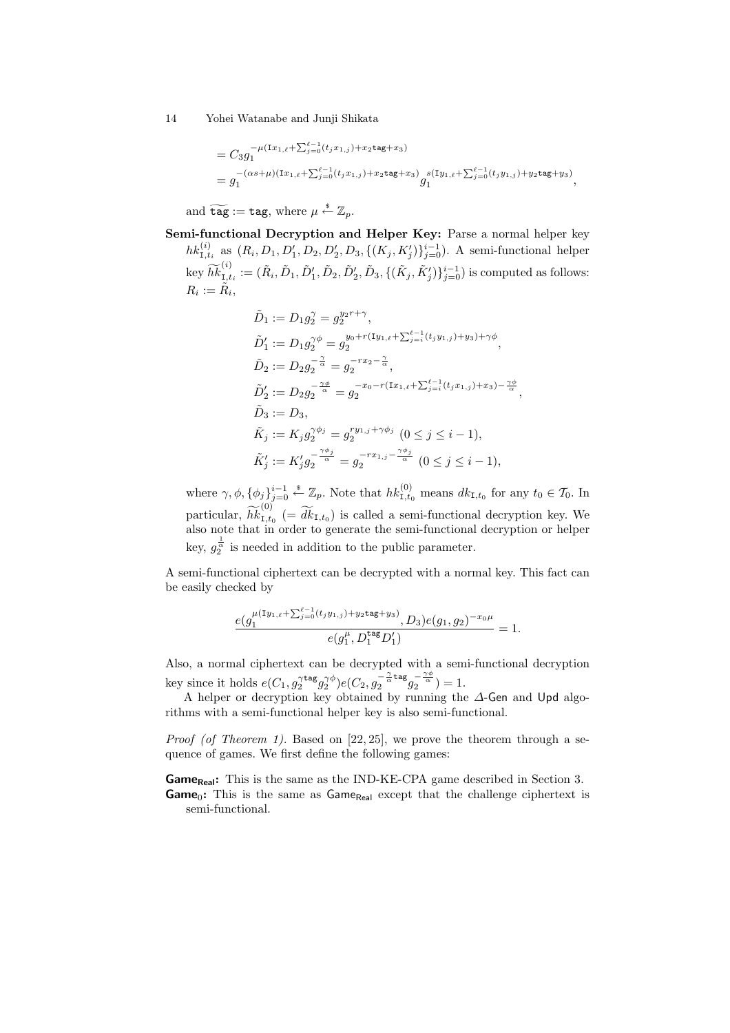$$
= C_3 g_1^{-\mu(\text{I}x_{1,\ell} + \sum_{j=0}^{\ell-1} (t_j x_{1,j}) + x_2 \text{tag}+x_3)}
$$
  
=  $g_1^{-(\alpha s + \mu)(\text{I}x_{1,\ell} + \sum_{j=0}^{\ell-1} (t_j x_{1,j}) + x_2 \text{tag}+x_3)} g_1^{s(\text{I}y_{1,\ell} + \sum_{j=0}^{\ell-1} (t_j y_{1,j}) + y_2 \text{tag}+y_3)},$   
and  $\widetilde{\text{tag}} := \text{tag, where } \mu \overset{\$}{\leftarrow} \mathbb{Z}_p.$ 

**Semi-functional Decryption and Helper Key:** Parse a normal helper key  $hk_{1,t_i}^{(i)}$  as  $(R_i, D_1, D'_1, D_2, D'_2, D_3, \{(K_j, K'_j)\}_{j=0}^{i-1})$ . A semi-functional helper  $\begin{align} \text{and}\; \texttt{te} \ \texttt{ni}\text{-}\textbf{fun} \ h k_{\texttt{I},t_i}^{(i)} \ \texttt{key}\; \widetilde{hk} \end{align}$ (*i*)  $\tilde{L}_{I,t_i}^{(i)} := (\tilde{R}_i, \tilde{D}_1, \tilde{D}'_1, \tilde{D}_2, \tilde{D}'_2, \tilde{D}_3, \{(\tilde{K}_j, \tilde{K}'_j)\}_{j=0}^{i-1})$  is computed as follows:  $R_i := \tilde{R}_i,$ 

$$
\tilde{D}_1 := D_1 g_2^{\gamma} = g_2^{y_2 r + \gamma},
$$
\n
$$
\tilde{D}'_1 := D_1 g_2^{\gamma \phi} = g_2^{y_0 + r(\text{I}y_{1,\ell} + \sum_{j=i}^{\ell-1} (t_j y_{1,j}) + y_3) + \gamma \phi},
$$
\n
$$
\tilde{D}_2 := D_2 g_2^{-\frac{\gamma}{\alpha}} = g_2^{-r x_2 - \frac{\gamma}{\alpha}},
$$
\n
$$
\tilde{D}'_2 := D_2 g_2^{-\frac{\gamma \phi}{\alpha}} = g_2^{-x_0 - r(\text{I}x_{1,\ell} + \sum_{j=i}^{\ell-1} (t_j x_{1,j}) + x_3) - \frac{\gamma \phi}{\alpha}}
$$
\n
$$
\tilde{D}_3 := D_3,
$$
\n
$$
\tilde{K}_j := K_j g_2^{\gamma \phi_j} = g_2^{-r y_{1,j} + \gamma \phi_j} \quad (0 \le j \le i - 1),
$$
\n
$$
\tilde{K}'_j := K'_j g_2^{-\frac{\gamma \phi_j}{\alpha}} = g_2^{-r x_{1,j} - \frac{\gamma \phi_j}{\alpha}} \quad (0 \le j \le i - 1),
$$

*,*

where  $\gamma$ ,  $\phi$ ,  $\{\phi_j\}_{j=0}^{i-1} \stackrel{\$}{\leftarrow} \mathbb{Z}_p$ . Note that  $hk_{1,t_0}^{(0)}$  means  $dk_{1,t_0}$  for any  $t_0 \in \mathcal{T}_0$ . In  $\hat{h}$ <br>where  $\gamma$ ,  $\phi$ ,  $\{\phi$ <br>particular,  $\hat{h}\hat{k}$ (0)  $\tilde{H}_j' := K'_j g_2^{-\frac{r}{\alpha}} = g_2^{-r x_{1,j} - \frac{r}{\alpha}}$   $(0 \le j \le i - 1),$ <br>  $j\}^{i-1}_{j=0} \stackrel{s}{\leftarrow} \mathbb{Z}_p$ . Note that  $hk_{1,t_0}^{(0)}$  means  $dk_{1,t_0}$  for any  $t_0 \in \mathcal{T}_0$ . In  $t_{1,t_0}$   $(0)$   $(t)$   $(t)$  is called a semi-functional decryp also note that in order to generate the semi-functional decryption or helper 1 key,  $g_2^{\overline{\alpha}}$  is needed in addition to the public parameter.

A semi-functional ciphertext can be decrypted with a normal key. This fact can be easily checked by

$$
\frac{e(g_1^{\mu(\text{I}y_{1,\ell}+\sum_{j=0}^{\ell-1}(t_jy_{1,j})+y_2\text{tag}+y_3)},D_3)e(g_1,g_2)^{-x_0\mu}}{e(g_1^{\mu},D_1^{\text{tag}}D_1')}=1.
$$

Also, a normal ciphertext can be decrypted with a semi-functional decryption key since it holds  $e(C_1, g_2^{\gamma \text{tag}} g_2^{\gamma \phi}) e(C_2, g_2^{-\frac{\gamma}{\alpha} \text{tag}}$  $\frac{\alpha}{2} \pi \frac{\alpha}{\alpha} \tan \frac{\gamma \phi}{\alpha} = 1.$ 

A helper or decryption key obtained by running the *∆*-Gen and Upd algorithms with a semi-functional helper key is also semi-functional.

*Proof (of Theorem 1).* Based on [22, 25], we prove the theorem through a sequence of games. We first define the following games:

**Game**<sub>Real</sub>: This is the same as the IND-KE-CPA game described in Section 3. Game<sub>0</sub>: This is the same as Game<sub>Real</sub> except that the challenge ciphertext is semi-functional.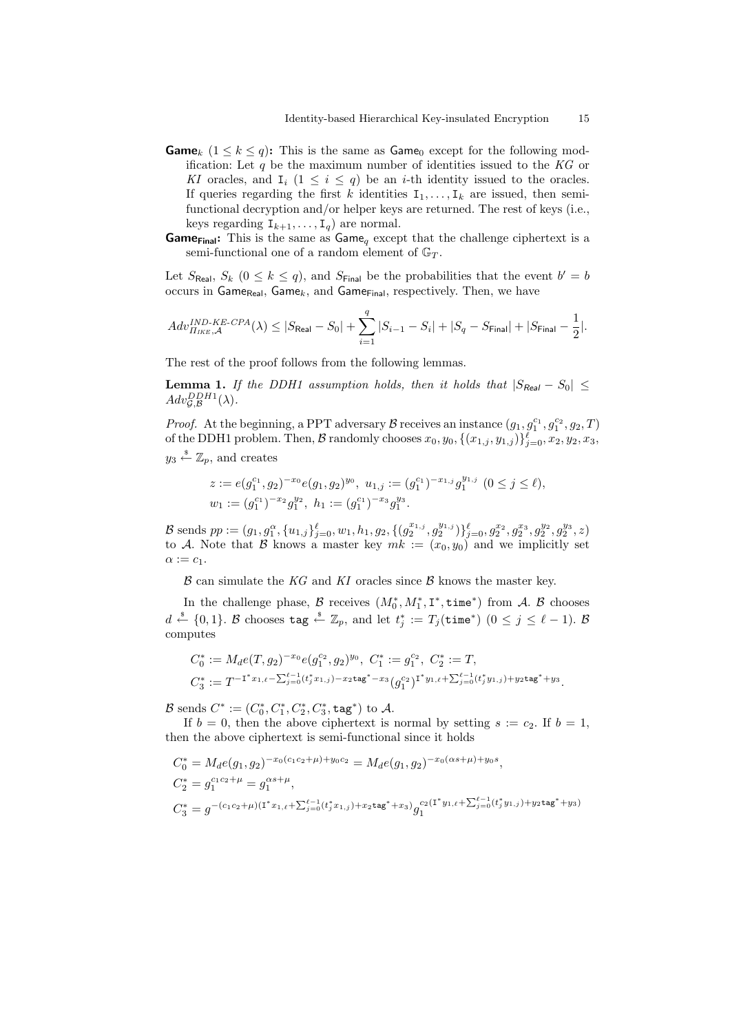- **Game**<sub>k</sub>  $(1 \leq k \leq q)$ : This is the same as Game<sub>0</sub> except for the following modification: Let *q* be the maximum number of identities issued to the *KG* or *KI* oracles, and  $I_i$  ( $1 \leq i \leq q$ ) be an *i*-th identity issued to the oracles. If queries regarding the first *k* identities  $I_1, \ldots, I_k$  are issued, then semifunctional decryption and/or helper keys are returned. The rest of keys (i.e., keys regarding  $I_{k+1}, \ldots, I_q$  are normal.
- **Game**<sub>Final</sub>: This is the same as Game<sub>q</sub> except that the challenge ciphertext is a semi-functional one of a random element of G*<sup>T</sup>* . ∑

Let  $S_{\text{Real}}$ ,  $S_k$  ( $0 \leq k \leq q$ ), and  $S_{\text{Final}}$  be the probabilities that the event  $b' = b$ occurs in Game<sub>Real</sub>, Game<sub>k</sub>, and Game<sub>Final</sub>, respectively. Then, we have

$$
Adv_{\Pi_{IKE}, \mathcal{A}}^{IND-KE-CPA}(\lambda) \leq |S_{\text{Real}} - S_0| + \sum_{i=1}^{q} |S_{i-1} - S_i| + |S_q - S_{\text{Final}}| + |S_{\text{Final}} - \frac{1}{2}|.
$$

The rest of the proof follows from the following lemmas.

**Lemma 1.** *If the DDH1 assumption holds, then it holds that*  $|S_{\text{Real}} - S_0| \le$  $Adv_{\mathcal{G},\mathcal{B}}^{DDH1}(\lambda)$ *.* 

*Proof.* At the beginning, a PPT adversary *B* receives an instance  $(g_1, g_1^{c_1}, g_2^{c_2}, g_2, T)$ of the DDH1 problem. Then,  $\mathcal{B}$  randomly chooses  $x_0, y_0, \{(x_{1,j}, y_{1,j})\}_{j=0}^{\ell}, x_2, y_2, x_3,$  $y_3 \overset{\hspace{0.1em}\mathsf{\scriptscriptstyle\$}}{\leftarrow} \mathbb{Z}_p$ , and creates

$$
\begin{aligned} z&:=e(g_1^{c_1},g_2)^{-x_0}e(g_1,g_2)^{y_0},\ u_{1,j}:=(g_1^{c_1})^{-x_{1,j}}g_1^{y_{1,j}}\ (0\leq j\leq \ell),\\ w_1&:=(g_1^{c_1})^{-x_2}g_1^{y_2},\ h_1:=(g_1^{c_1})^{-x_3}g_1^{y_3}.\end{aligned}
$$

B sends  $pp := (g_1, g_1^{\alpha}, \{u_{1,j}\}_{j=0}^{\ell}, w_1, h_1, g_2, \{(g_2^{x_{1,j}}, g_2^{y_{1,j}})\}_{j=0}^{\ell}, g_2^{x_2}, g_2^{x_3}, g_2^{y_2}, g_2^{y_3}, z)$ to *A*. Note that *B* knows a master key  $mk := (x_0, y_0)$  and we implicitly set  $\alpha := c_1$ .

*B* can simulate the *KG* and *KI* oracles since *B* knows the master key.

In the challenge phase,  $\mathcal{B}$  receives  $(M_0^*, M_1^*, \mathbf{I}^*, \text{time}^*)$  from  $\mathcal{A}$ .  $\mathcal{B}$  chooses  $d \stackrel{\hspace{0.1em}\mathsf{\scriptscriptstyle\$}}{\leftarrow} \{0,1\}$ . *B* chooses tag  $\stackrel{\hspace{0.1em}\mathsf{\scriptscriptstyle\$}}{\leftarrow} \mathbb{Z}_p,$  and let  $t_j^*:=T_j(\mathtt{time}^*)$   $(0\leq j\leq \ell-1).$  *B* computes

$$
\begin{aligned} C_0^* &:= M_d e(T,g_2)^{-x_0} e(g_1^{c_2},g_2)^{y_0}, \ C_1^* := g_1^{c_2}, \ C_2^* := T, \\ C_3^* &:= T^{-\mathbf{I}^* x_{1,\ell} - \sum_{j=0}^{\ell-1} (t_j^* x_{1,j}) - x_2 \texttt{tag}^* - x_3} (g_1^{c_2})^{\mathbf{I}^* y_{1,\ell} + \sum_{j=0}^{\ell-1} (t_j^* y_{1,j}) + y_2 \texttt{tag}^* + y_3}. \end{aligned}
$$

*B* sends  $C^* := (C_0^*, C_1^*, C_2^*, C_3^*, \text{tag}*)$  to *A*.

If  $b = 0$ , then the above ciphertext is normal by setting  $s := c_2$ . If  $b = 1$ , then the above ciphertext is semi-functional since it holds

$$
C_0^* = M_d e(g_1, g_2)^{-x_0(c_1c_2+\mu)+y_0c_2} = M_d e(g_1, g_2)^{-x_0(\alpha s+\mu)+y_0s},
$$
  
\n
$$
C_2^* = g_1^{c_1c_2+\mu} = g_1^{\alpha s+\mu},
$$
  
\n
$$
C_3^* = g^{-(c_1c_2+\mu)(\mathbf{I}^*x_1, \ell + \sum_{j=0}^{\ell-1}(t_j^*x_{1,j}) + x_2t\mathbf{ag}^* + x_3)} g_1^{c_2(\mathbf{I}^*y_1, \ell + \sum_{j=0}^{\ell-1}(t_j^*y_{1,j}) + y_2t\mathbf{ag}^* + y_3)}
$$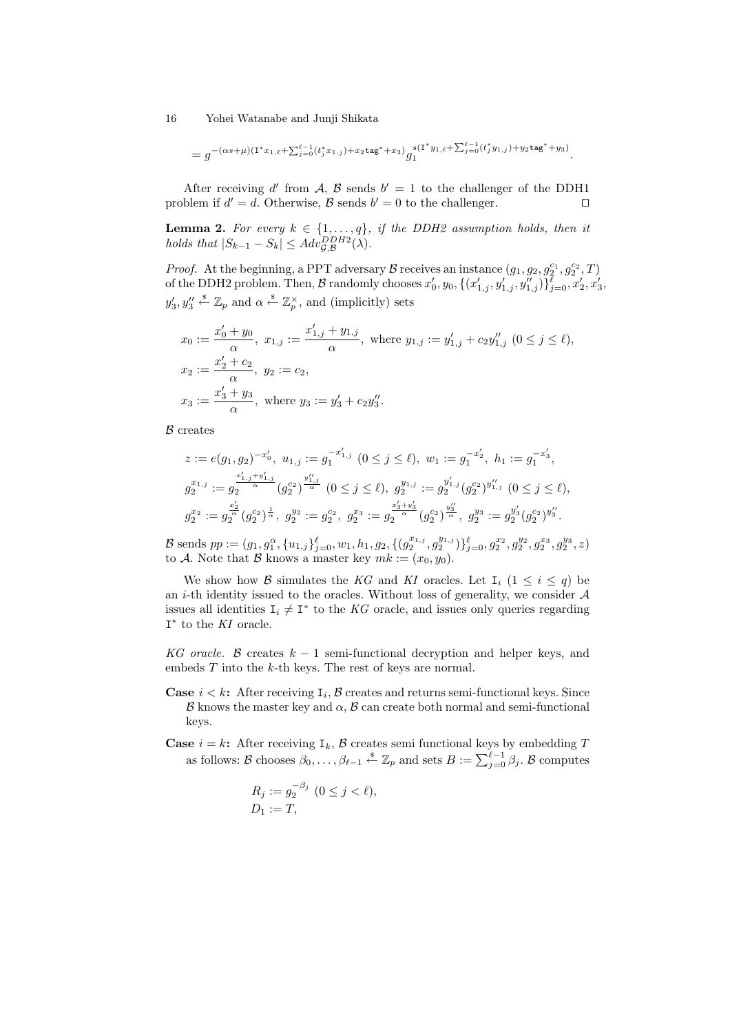$$
=g^{-(\alpha s+\mu)(\mathbf{1}^*x_{1,\ell}+\sum_{j=0}^{\ell-1}(t_j^*x_{1,j})+x_2t\mathbf{a}\mathbf{g}^*+x_3)}g_1^{s(\mathbf{1}^*y_{1,\ell}+\sum_{j=0}^{\ell-1}(t_j^*y_{1,j})+y_2t\mathbf{a}\mathbf{g}^*+y_3)}.
$$

After receiving d' from A, B sends  $b' = 1$  to the challenger of the DDH1 problem if  $d' = d$ . Otherwise,  $\beta$  sends  $b' = 0$  to the challenger.  $\Box$ 

**Lemma 2.** For every  $k \in \{1, \ldots, q\}$ , if the DDH2 assumption holds, then it *holds that*  $|S_{k-1} - S_k| \leq A dv_{\mathcal{G}, \mathcal{B}}^{DDH2}(\lambda)$ *.* 

*Proof.* At the beginning, a PPT adversary *B* receives an instance  $(g_1, g_2, g_2^{c_1}, g_2^{c_2}, T)$ of the DDH2 problem. Then,  $\mathcal B$  randomly chooses  $x'_0, y_0, \{(x'_{1,j}, y'_{1,j}, y''_{1,j})\}_{j=0}^{\ell}, x'_2, x'_3,$  $y'_3, y''_3 \stackrel{\$}{\leftarrow} \mathbb{Z}_p$  and  $\alpha \stackrel{\$}{\leftarrow} \mathbb{Z}_p^{\times}$ , and (implicitly) sets

$$
x_0 := \frac{x'_0 + y_0}{\alpha}, \ x_{1,j} := \frac{x'_{1,j} + y_{1,j}}{\alpha}, \text{ where } y_{1,j} := y'_{1,j} + c_2 y''_{1,j} \ (0 \le j \le \ell),
$$
  
\n
$$
x_2 := \frac{x'_2 + c_2}{\alpha}, \ y_2 := c_2,
$$
  
\n
$$
x_3 := \frac{x'_3 + y_3}{\alpha}, \text{ where } y_3 := y'_3 + c_2 y''_3.
$$

*B* creates

$$
z := e(g_1, g_2)^{-x'_0}, \ u_{1,j} := g_1^{-x'_{1,j}} \ (0 \le j \le \ell), \ w_1 := g_1^{-x'_2}, \ h_1 := g_1^{-x'_3},
$$
  

$$
g_2^{x_{1,j}} := g_2^{\frac{x'_{1,j} + y'_{1,j}}{\alpha}} (g_2^{c_2})^{\frac{y''_{1,j}}{\alpha}} \ (0 \le j \le \ell), \ g_2^{y_{1,j}} := g_2^{y'_{1,j}} (g_2^{c_2})^{y''_{1,j}} \ (0 \le j \le \ell),
$$
  

$$
g_2^{x_2} := g_2^{\frac{x'_2}{\alpha}} (g_2^{c_2})^{\frac{1}{\alpha}}, \ g_2^{y_2} := g_2^{c_2}, \ g_2^{x_3} := g_2^{\frac{x'_3 + y'_3}{\alpha}} (g_2^{c_2})^{\frac{y''_3}{\alpha}}, \ g_2^{y_3} := g_2^{y'_3} (g_2^{c_2})^{y''_3}.
$$

B sends  $pp := (g_1, g_1^{\alpha}, \{u_{1,j}\}_{j=0}^{\ell}, w_1, h_1, g_2, \{(g_2^{x_{1,j}}, g_2^{y_{1,j}})\}_{j=0}^{\ell}, g_2^{x_2}, g_2^{y_2}, g_2^{x_3}, g_2^{y_3}, z)$ to *A*. Note that *B* knows a master key  $mk := (x_0, y_0)$ .

We show how *B* simulates the *KG* and *KI* oracles. Let  $I_i$  ( $1 \leq i \leq q$ ) be an *i*-th identity issued to the oracles. Without loss of generality, we consider *A* issues all identities  $I_i \neq I^*$  to the *KG* oracle, and issues only queries regarding I *∗* to the *KI* oracle.

*KG oracle. B* creates *k −* 1 semi-functional decryption and helper keys, and embeds *T* into the *k*-th keys. The rest of keys are normal.

- **Case**  $i < k$ **:** After receiving  $I_i$ ,  $\beta$  creates and returns semi-functional keys. Since  $\beta$  knows the master key and  $\alpha$ ,  $\beta$  can create both normal and semi-functional keys. *B* knows the master key and α, *B* can create both normal and semi-functional keys. Since *B* knows the master key and α, *B* can create both normal and semi-functional keys.<br>se *i* = *k*: After receiving  $I_k$ , *B* cr
- **Case**  $i = k$ **:** After receiving  $I_k$ ,  $\beta$  creates semi functional keys by embedding  $T$

$$
R_j := g_2^{-\beta_j} \ (0 \le j < \ell),
$$
  
 
$$
D_1 := T,
$$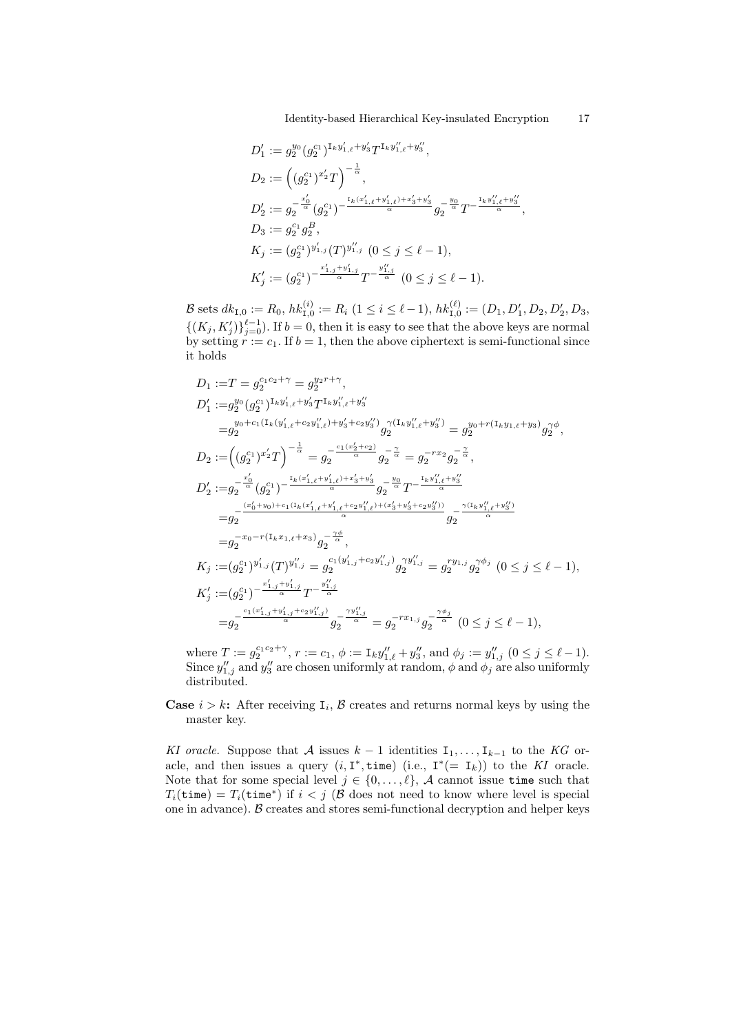Identity-based Hierarchical Key-insulated Encryption 17 )

Identity-based Hierarchical Key-insulated Energy  
\n
$$
D'_1 := g_2^{y_0} (g_2^{c_1})^{I_k y'_{1,\ell} + y'_3} T^{I_k y''_{1,\ell} + y''_3},
$$
\n
$$
D_2 := \left( (g_2^{c_1})^{x'_2} T \right)^{-\frac{1}{\alpha}},
$$
\n
$$
D'_2 := g_2^{-\frac{x'_0}{\alpha}} (g_2^{c_1})^{-\frac{I_k(x'_{1,\ell} + y'_{1,\ell}) + x'_3 + y'_3}{\alpha}} g_2^{-\frac{y_0}{\alpha}} T^{-\frac{I_k y''_{1,\ell} + y''_3}{\alpha}},
$$
\n
$$
D_3 := g_2^{c_1} g_2^{B},
$$
\n
$$
K_j := (g_2^{c_1})^{y'_{1,j}} (T)^{y''_{1,j}} (0 \le j \le \ell - 1),
$$
\n
$$
K'_j := (g_2^{c_1})^{-\frac{x'_{1,j} + y'_{1,j}}{\alpha}} T^{-\frac{y''_{1,j}}{\alpha}} (0 \le j \le \ell - 1).
$$

B sets  $dk_{1,0} := R_0$ ,  $hk_{1,0}^{(i)} := R_i$   $(1 \le i \le \ell - 1)$ ,  $hk_{1,0}^{(\ell)} := (D_1, D'_1, D_2, D'_2, D_3)$  $\{(K_j, K'_j)\}_{j=0}^{\ell-1}$ . If  $b = 0$ , then it is easy to see that the above keys are normal by setting  $\dot{r} := c_1$ . If  $b = 1$ , then the above ciphertext is semi-functional since it holds

$$
D_1 := T = g_2^{c_1c_2 + \gamma} = g_2^{y_2r + \gamma},
$$
  
\n
$$
D'_1 := g_2^{y_0} (g_2^{c_1})^{I_k y'_{1,\ell} + y'_3} T^{I_k y''_{1,\ell} + y''_3}
$$
  
\n
$$
= g_2^{y_0 + c_1(I_k(y'_{1,\ell} + c_2 y''_{1,\ell}) + y'_3 + c_2 y''_3)} g_2^{\gamma(I_k y''_{1,\ell} + y''_3)} = g_2^{y_0 + r(I_k y_{1,\ell} + y_3)} g_2^{\gamma \phi},
$$
  
\n
$$
D_2 := ((g_2^{c_1})^{x'_2} T)^{-\frac{1}{\alpha}} = g_2^{-\frac{c_1(x'_2 + c_2)}{\alpha}} g_2^{-\frac{\gamma}{\alpha}} = g_2^{-rx_2} g_2^{-\frac{\gamma}{\alpha}},
$$
  
\n
$$
D'_2 := g_2^{-\frac{x'_0}{\alpha}} (g_2^{c_1})^{-\frac{I_k(x'_{1,\ell} + y'_{1,\ell}) + x'_3 + y'_3}{\alpha}} g_2^{-\frac{y_0}{\alpha}} T^{-\frac{I_k y''_{1,\ell} + y''_3}{\alpha}}
$$
  
\n
$$
= g_2^{-\frac{(x'_0 + y_0) + c_1(I_k(x'_{1,\ell} + y'_{1,\ell} + c_2 y''_{1,\ell}) + (x'_3 + y'_3 + c_2 y''_3))}{\alpha}} g_2^{-\frac{\gamma(I_k y''_{1,\ell} + y''_3)}{\alpha}}
$$
  
\n
$$
= g_2^{-x_0 - r(I_k x_{1,\ell} + x_3)} g_2^{-\frac{\gamma \phi}{\alpha}},
$$
  
\n
$$
K_j := (g_2^{c_1})^{y'_{1,j}} (T)^{y''_{1,j}} = g_2^{c_1(y'_{1,j} + c_2 y''_{1,j})} g_2^{\gamma y''_{1,j}} = g_2^{ry_{1,j}} g_2^{\gamma \phi_j} \quad (0 \le j \le \ell - 1),
$$
  
\n
$$
K'_j := (g_2^{c_1})^{-\frac{x'_{1,j} + y'_{1,j}}{\alpha}} T^{-\frac{y''_{1,j}}{\alpha}}
$$
  
\n
$$
= g_2^{-\frac{c_1
$$

where  $T := g_2^{c_1 c_2 + \gamma}$ ,  $r := c_1$ ,  $\phi := \mathbf{I}_k y''_{1,\ell} + y''_3$ , and  $\phi_j := y''_{1,j}$   $(0 \le j \le \ell - 1)$ . Since  $y''_{1,j}$  and  $y''_3$  are chosen uniformly at random,  $\phi$  and  $\phi_j$  are also uniformly distributed.

**Case**  $i > k$ **:** After receiving  $I_i$ ,  $\beta$  creates and returns normal keys by using the master key.

*KI oracle.* Suppose that *A* issues  $k-1$  identities  $I_1, \ldots, I_{k-1}$  to the *KG* oracle, and then issues a query  $(i, I^*, time)$  (i.e.,  $I^*(= I_k)$ ) to the *KI* oracle. Note that for some special level  $j \in \{0, \ldots, \ell\}$ , *A* cannot issue time such that  $T_i(\mathtt{time}) = T_i(\mathtt{time}^*)$  if  $i < j$  ( $\mathcal B$  does not need to know where level is special one in advance). *B* creates and stores semi-functional decryption and helper keys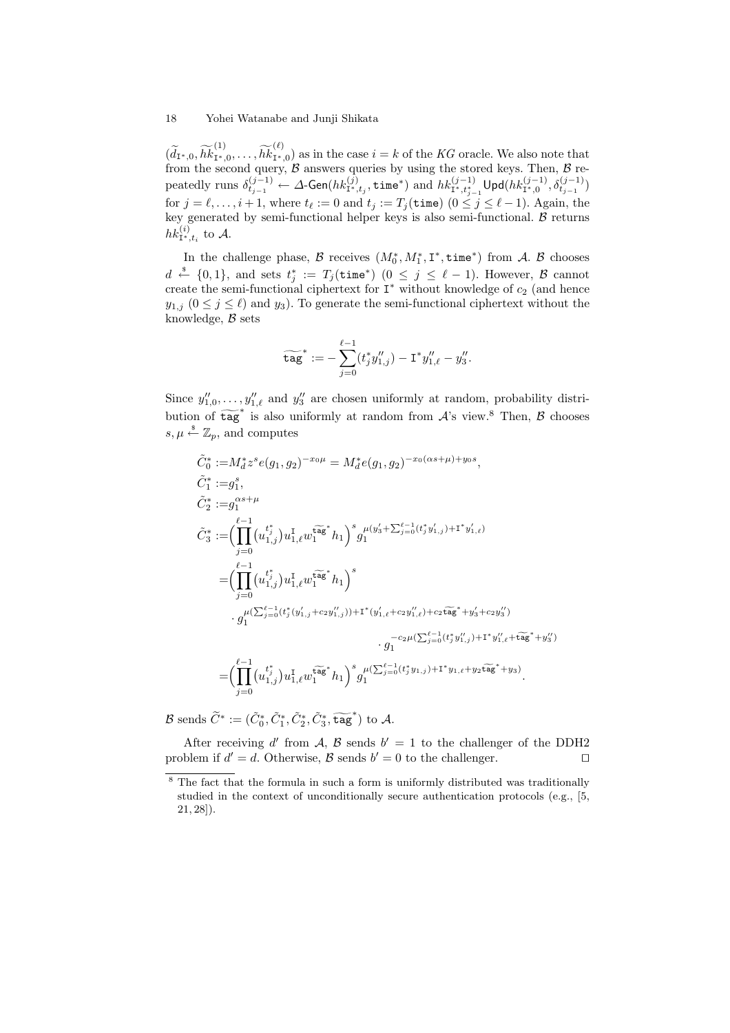18 Y<br>  $(\widetilde{d}_{\mathbf{I}^*,0}, \widetilde{hk})$ (1)  $\frac{(1)}{(1+i_1,0,\ldots,\widetilde{hk})}$ (*ℓ*)  $I_{I^*,0}^{(1)}$  as in the case  $i = k$  of the *KG* oracle. We also note that from the second query, *B* answers queries by using the stored keys. Then, *B* repeatedly runs  $\delta^{(j-1)}_{t_{j-1}} \leftarrow \Delta\text{-Gen}(hk^{(j)}_{\mathbf{I}^*,t_j},\texttt{time}^*)$  and  $hk^{(j-1)}_{\mathbf{I}^*,t^*_{j-1}}\textsf{Upd}(hk^{(j-1)}_{\mathbf{I}^*,0},\delta^{(j-1)}_{t_{j-1}})$ for  $j = \ell, \ldots, i + 1$ , where  $t_{\ell} := 0$  and  $t_j := T_j(\text{time})$   $(0 \leq j \leq \ell - 1)$ . Again, the key generated by semi-functional helper keys is also semi-functional. *B* returns  $hk^{(i)}_{\mathbf{I}^*,t_i}$  to A.

In the challenge phase,  $\mathcal{B}$  receives  $(M_0^*, M_1^*, \mathbf{I}^*, \mathsf{time}^*)$  from  $\mathcal{A}$ .  $\mathcal{B}$  chooses *d*  $\overset{\$}{\leftarrow}$  {0,1}, and sets  $t_j^* := T_j(\texttt{time}^*)$  (0 ≤ *j* ≤  $\ell$  − 1). However, *B* cannot create the semi-functional ciphertext for  $I^*$  without knowledge of  $c_2$  (and hence *y*<sub>1*,j*</sub> (0 ≤ *j* ≤ *ℓ*) and *y*<sub>3</sub>). To generate the semi-functional ciphertext without the<br>knowledge, *B* sets<br> $\widetilde{\text{tag}}^* := -\sum_{i=1}^{\ell-1} (t_i^* y_{1,i}'' ) - \text{I}^* y_{1,\ell}'' - y_3''$ . knowledge, *B* sets

$$
\widetilde{\texttt{tag}}^* := -\sum_{j=0}^{\ell-1} (t_j^*y_{1,j}'') - \texttt{I}^*y_{1,\ell}'' - y_3''.
$$

Since  $y''_{1,0}, \ldots, y''_{1,\ell}$  and  $y''_3$  are chosen uniformly at random, probability distri- $\begin{aligned} \n\text{tag } := & -\sum_{j=0} (t_j y_{1,j}) - 1 \, y_{1,\ell} - y_3. \end{aligned}$ <br>
Since  $y''_{1,0}, \ldots, y''_{1,\ell}$  and  $y''_3$  are chosen uniformly at random, probability distribution of  $\text{tag}^*$  is also uniformly at random from *A*'s view.<sup>8</sup> Then, *B*  $s, \mu \stackrel{\$}{\leftarrow} \mathbb{Z}_p$ , and computes

$$
\tilde{C}_{0}^{*} := M_{d}^{*} z^{s} e(g_{1}, g_{2})^{-x_{0}\mu} = M_{d}^{*} e(g_{1}, g_{2})^{-x_{0}(\alpha s + \mu) + y_{0}s},
$$
\n
$$
\tilde{C}_{1}^{*} := g_{1}^{s},
$$
\n
$$
\tilde{C}_{2}^{*} := g_{1}^{\alpha s + \mu}
$$
\n
$$
\tilde{C}_{3}^{*} := \left( \prod_{j=0}^{\ell-1} (u_{1,j}^{t_{j}}) u_{1,\ell}^{1} w_{1}^{\widetilde{\alpha g}} u_{1}^{k} h_{1} \right)^{s} g_{1}^{\mu(y'_{3} + \sum_{j=0}^{\ell-1} (t_{j}^{*} y'_{1,j}) + 1^{*} y'_{1,\ell})}
$$
\n
$$
= \left( \prod_{j=0}^{\ell-1} (u_{1,j}^{t_{j}}) u_{1,\ell}^{1} w_{1}^{\widetilde{\alpha g}} u_{1}^{k} h_{1} \right)^{s}
$$
\n
$$
\cdot g_{1}^{\mu(\sum_{j=0}^{\ell-1} (t_{j}^{*} (y'_{1,j} + c_{2} y''_{1,j})) + 1^{*} (y'_{1,\ell} + c_{2} y''_{1,\ell}) + c_{2} \widetilde{\alpha g}} u_{1}^{k} + y'_{3} + c_{2} y''_{3})
$$
\n
$$
= \left( \prod_{j=0}^{\ell-1} (u_{1,j}^{t_{j}}) u_{1,\ell}^{1} w_{1}^{\widetilde{\alpha g}} u_{1}^{k} h_{1} \right)^{s} g_{1}^{\mu(\sum_{j=0}^{\ell-1} (t_{j}^{*} y_{1,j}) + 1^{*} y_{1,\ell} + y_{2} \widetilde{\alpha g}} u_{1}^{k} + y''_{3})
$$
\n
$$
= \left( \prod_{j=0}^{\ell-1} (u_{1,j}^{t_{j}}) u_{1,\ell}^{1} w_{1}^{\widetilde{\alpha g}} u_{1}^{k} h_{1} \right)^{s} g_{1}^{\mu(\sum_{j=0}^{\ell-1} (t_{j}^{*} y_{1,j}) + 1^{*} y_{1,\ell} + y_{2} \widetilde{\alpha g}} u_{1}
$$

After receiving *d'* from *A*, *B* sends  $b' = 1$  to the challenger of the DDH2 problem if  $d' = d$ . Otherwise,  $\beta$  sends  $b' = 0$  to the challenger.  $\Box$ 

<sup>&</sup>lt;sup>8</sup> The fact that the formula in such a form is uniformly distributed was traditionally studied in the context of unconditionally secure authentication protocols (e.g., [5, 21, 28]).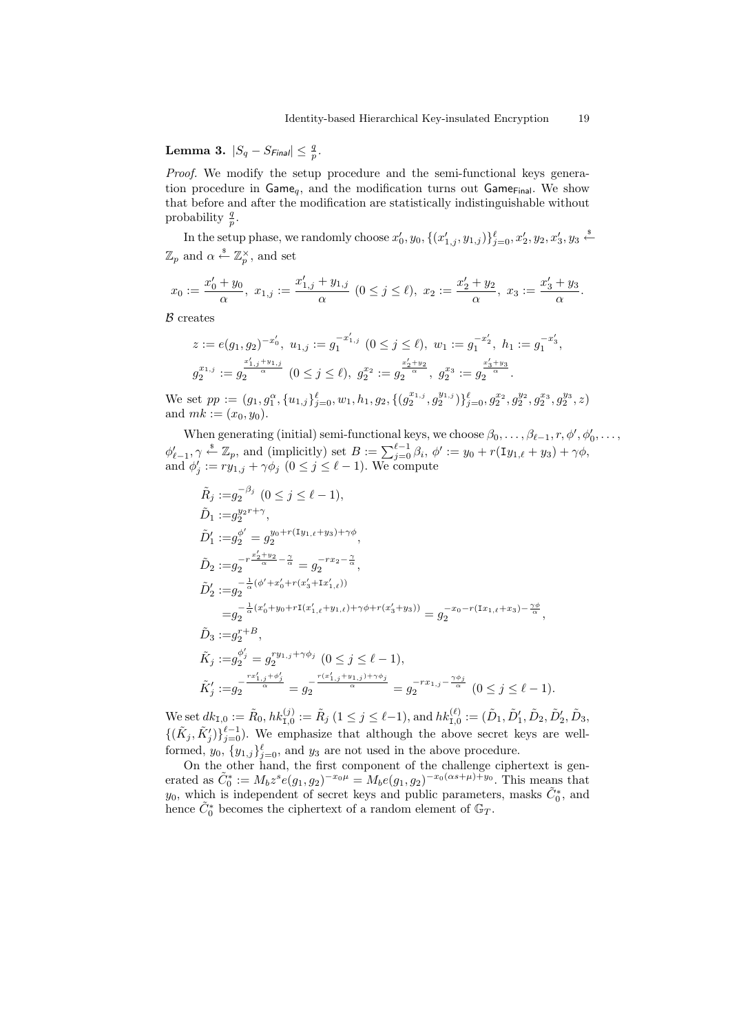**Lemma 3.**  $|S_q - S_{Final}|$  ≤  $\frac{q}{p}$ .

*Proof.* We modify the setup procedure and the semi-functional keys generation procedure in  $Game_q$ , and the modification turns out  $Game_{Final}$ . We show that before and after the modification are statistically indistinguishable without probability  $\frac{q}{p}$ .

In the setup phase, we randomly choose  $x'_0, y_0, \{(x'_{1,j}, y_{1,j})\}_{j=0}^{\ell}, x'_2, y_2, x'_3, y_3 \stackrel{\hspace{0.1em}\mathsf{\scriptscriptstyle\$}}{\leftarrow}$  $\mathbb{Z}_p$  and  $\alpha \stackrel{\$}{\leftarrow} \mathbb{Z}_p^{\times}$ , and set

$$
x_0:=\frac{x'_0+y_0}{\alpha},\,\,x_{1,j}:=\frac{x'_{1,j}+y_{1,j}}{\alpha}\,\,(0\leq j\leq \ell),\,\,x_2:=\frac{x'_2+y_2}{\alpha},\,\,x_3:=\frac{x'_3+y_3}{\alpha}.
$$

*B* creates

$$
z := e(g_1, g_2)^{-x'_0}, \ u_{1,j} := g_1^{-x'_{1,j}} \ (0 \le j \le \ell), \ w_1 := g_1^{-x'_2}, \ h_1 := g_1^{-x'_3},
$$
  

$$
g_2^{x_{1,j}} := g_2^{\frac{x'_{1,j} + y_{1,j}}{\alpha}} \ (0 \le j \le \ell), \ g_2^{x_2} := g_2^{\frac{x'_2 + y_2}{\alpha}}, \ g_2^{x_3} := g_2^{\frac{x'_3 + y_3}{\alpha}}.
$$

We set  $pp := (g_1, g_1^{\alpha}, \{u_{1,j}\}_{j=0}^{\ell}, w_1, h_1, g_2, \{(g_2^{x_{1,j}}, g_2^{y_{1,j}})\}_{j=0}^{\ell}, g_2^{x_2}, g_2^{y_2}, g_2^{x_3}, g_2^{y_3}, z)$ and  $mk := (x_0, y_0)$ .

When generating (initial) semi-functional keys, we choose  $\beta_0, \ldots, \beta_{\ell-1}, r, \phi', \phi'_0, \ldots$ We set  $pp := (g_1, g_1^{\alpha}, \{u_{1,j}\}_{j=0}^{\ell}, w_1, h_1, g_2, \{(g_2^{x_{1,j}}, g_2^{y_{1,j}})\}_{j=0}^{\ell}, g_2^{x_2}, g_2^{y_2}, g_2^{x_3}, g_2^{y_3}, z)$ <br>and  $mk := (x_0, y_0)$ .<br>When generating (initial) semi-functional keys, we choose  $\beta_0, \ldots, \beta_{\ell-1}, r, \phi', \phi$ <br>and  $\phi'_{j} := ry_{1,j} + \gamma \phi_{j}$   $(0 \leq j \leq \ell - 1)$ . We compute

$$
\tilde{R}_{j} := g_{2}^{-\beta_{j}} (0 \leq j \leq \ell - 1),
$$
\n
$$
\tilde{D}_{1} := g_{2}^{y_{2}r + \gamma},
$$
\n
$$
\tilde{D}'_{1} := g_{2}^{\phi'} = g_{2}^{y_{0} + r(\text{I}_{y_{1,\ell} + y_{3}) + \gamma\phi}},
$$
\n
$$
\tilde{D}_{2} := g_{2}^{-r \frac{x'_{2} + y_{2}}{\alpha} - \frac{\gamma}{\alpha}} = g_{2}^{-r x_{2} - \frac{\gamma}{\alpha}},
$$
\n
$$
\tilde{D}'_{2} := g_{2}^{-\frac{1}{\alpha}(\phi' + x'_{0} + r(x'_{3} + \text{I}_{x'_{1,\ell}}))}
$$
\n
$$
= g_{2}^{-\frac{1}{\alpha}(x'_{0} + y_{0} + r\text{I}(x'_{1,\ell} + y_{1,\ell}) + \gamma\phi + r(x'_{3} + y_{3}))} = g_{2}^{-x_{0} - r(\text{I}_{x_{1,\ell} + x_{3}) - \frac{\gamma\phi}{\alpha}}},
$$
\n
$$
\tilde{D}_{3} := g_{2}^{r + B},
$$
\n
$$
\tilde{K}_{j} := g_{2}^{\phi_{j}'} = g_{2}^{-r y_{1,j} + \gamma\phi_{j}} (0 \leq j \leq \ell - 1),
$$
\n
$$
\tilde{K}'_{j} := g_{2}^{-\frac{rx'_{1,j} + \phi_{j}'}{\alpha}} = g_{2}^{-\frac{r(x'_{1,j} + y_{1,j}) + \gamma\phi_{j}}{\alpha}} = g_{2}^{-r x_{1,j} - \frac{\gamma\phi_{j}}{\alpha}} (0 \leq j \leq \ell - 1).
$$

We set  $dk_{I,0} := \tilde{R}_0$ ,  $hk_{I,0}^{(j)} := \tilde{R}_j$  ( $1 \le j \le \ell-1$ ), and  $hk_{I,0}^{(\ell)} := (\tilde{D}_1, \tilde{D}_1', \tilde{D}_2, \tilde{D}_2', \tilde{D}_3,$  $\{(\tilde{K}_j, \tilde{K}'_j)\}_{j=0}^{\ell-1}$ . We emphasize that although the above secret keys are wellformed,  $y_0$ ,  $\{y_{1,j}\}_{j=0}^{\ell}$ , and  $y_3$  are not used in the above procedure.

On the other hand, the first component of the challenge ciphertext is generated as  $\tilde{C}_0^* := M_b z^s e(g_1, g_2)^{-x_0 \mu} = M_b e(g_1, g_2)^{-x_0(\alpha s + \mu) + y_0}$ . This means that *y*<sub>0</sub>, which is independent of secret keys and public parameters, masks  $\tilde{C}_0^*$ , and hence  $\tilde{C}_0^*$  becomes the ciphertext of a random element of  $\mathbb{G}_T$ .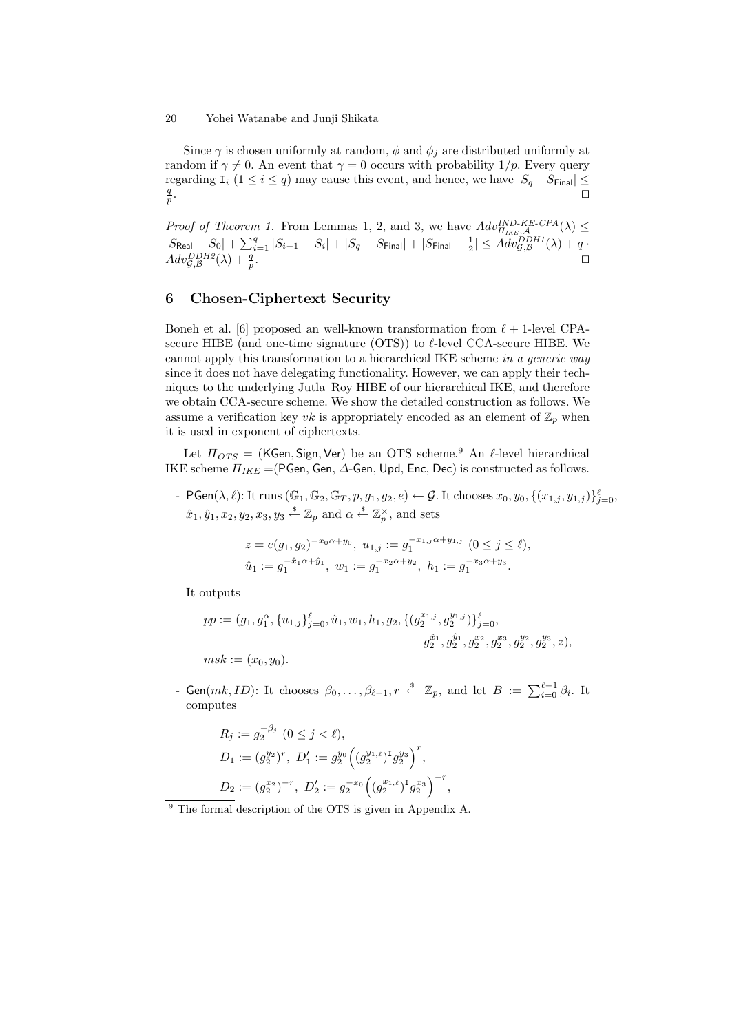Since  $\gamma$  is chosen uniformly at random,  $\phi$  and  $\phi_j$  are distributed uniformly at random if  $\gamma \neq 0$ . An event that  $\gamma = 0$  occurs with probability 1/p. Every query regarding  $I_i$  ( $1 \le i \le q$ ) may cause this event, and hence, we have  $|S_q - S_{\text{Final}}| \le$ *q p* . *⊓⊔*

*Proof of Theorem 1.* From Lemmas 1, 2, and 3, we have  $Adv_{\Pi_{IKE},\mathcal{A}}^{IND-KE-CPA}(\lambda) \le$  $|S_{\text{Real}} - S_0| + \sum_{i=1}^q |S_{i-1} - S_i| + |S_q - S_{\text{Final}}| + |S_{\text{Final}} - \frac{1}{2}| \leq Adv_{\mathcal{G},\mathcal{B}}^{DDH1}(\lambda) + q$  $Adv_{\mathcal{G},\mathcal{B}}^{DDH2}(\lambda) + \frac{q}{p}$ . *⊓⊔*

## **6 Chosen-Ciphertext Security**

Boneh et al. [6] proposed an well-known transformation from *ℓ* + 1-level CPAsecure HIBE (and one-time signature (OTS)) to *ℓ*-level CCA-secure HIBE. We cannot apply this transformation to a hierarchical IKE scheme *in a generic way* since it does not have delegating functionality. However, we can apply their techniques to the underlying Jutla–Roy HIBE of our hierarchical IKE, and therefore we obtain CCA-secure scheme. We show the detailed construction as follows. We assume a verification key *vk* is appropriately encoded as an element of  $\mathbb{Z}_p$  when it is used in exponent of ciphertexts.

Let *ΠOTS* = (KGen*,* Sign*,*Ver) be an OTS scheme.<sup>9</sup> An *ℓ*-level hierarchical IKE scheme *ΠIKE* =(PGen, Gen, *∆*-Gen, Upd, Enc, Dec) is constructed as follows.

-  $\mathsf{PGen}(\lambda,\ell)$ : It runs  $(\mathbb{G}_1,\mathbb{G}_2,\mathbb{G}_T,p,g_1,g_2,e)\leftarrow \mathcal{G}$ . It chooses  $x_0,y_0,\{(x_{1,j},y_{1,j})\}_{j=0}^{\ell},$  $\hat{x}_1, \hat{y}_1, x_2, y_2, x_3, y_3 \overset{\$}{\leftarrow} \mathbb{Z}_p$  and  $\alpha \overset{\$}{\leftarrow} \mathbb{Z}_p^{\times}$ , and sets

$$
z = e(g_1, g_2)^{-x_0 \alpha + y_0}, \ u_{1,j} := g_1^{-x_1, j \alpha + y_1, j} \ (0 \le j \le \ell),
$$
  

$$
\hat{u}_1 := g_1^{-\hat{x}_1 \alpha + \hat{y}_1}, \ w_1 := g_1^{-x_2 \alpha + y_2}, \ h_1 := g_1^{-x_3 \alpha + y_3}.
$$

It outputs

$$
pp := (g_1, g_1^{\alpha}, \{u_{1,j}\}_{j=0}^{\ell}, \hat{u}_1, w_1, h_1, g_2, \{(g_2^{x_{1,j}}, g_2^{y_{1,j}})\}_{j=0}^{\ell},
$$
  

$$
g_2^{\hat{x}_1}, g_2^{\hat{y}_1}, g_2^{x_2}, g_2^{x_3}, g_2^{y_2}, g_2^{y_3}, z),
$$
  

$$
msk := (x_0, y_0).
$$
  
- Gen( $mk$ , *ID*): It chooses  $\beta_0, \ldots, \beta_{\ell-1}$ ,  $r \stackrel{\text{s}}{\leftarrow} \mathbb{Z}_p$ , and let  $B := \sum_{i=0}^{\ell-1} \beta_i$ . It

computes

$$
R_j := g_2^{-\beta_j} \ (0 \le j < \ell),
$$
\n
$$
D_1 := (g_2^{y_2})^r, \ D'_1 := g_2^{y_0} \left( (g_2^{y_{1,\ell}})^{\mathrm{T}} g_2^{y_3} \right)^r,
$$
\n
$$
D_2 := (g_2^{x_2})^{-r}, \ D'_2 := g_2^{-x_0} \left( (g_2^{x_{1,\ell}})^{\mathrm{T}} g_2^{x_3} \right)^{-r},
$$

<sup>9</sup> The formal description of the OTS is given in Appendix A.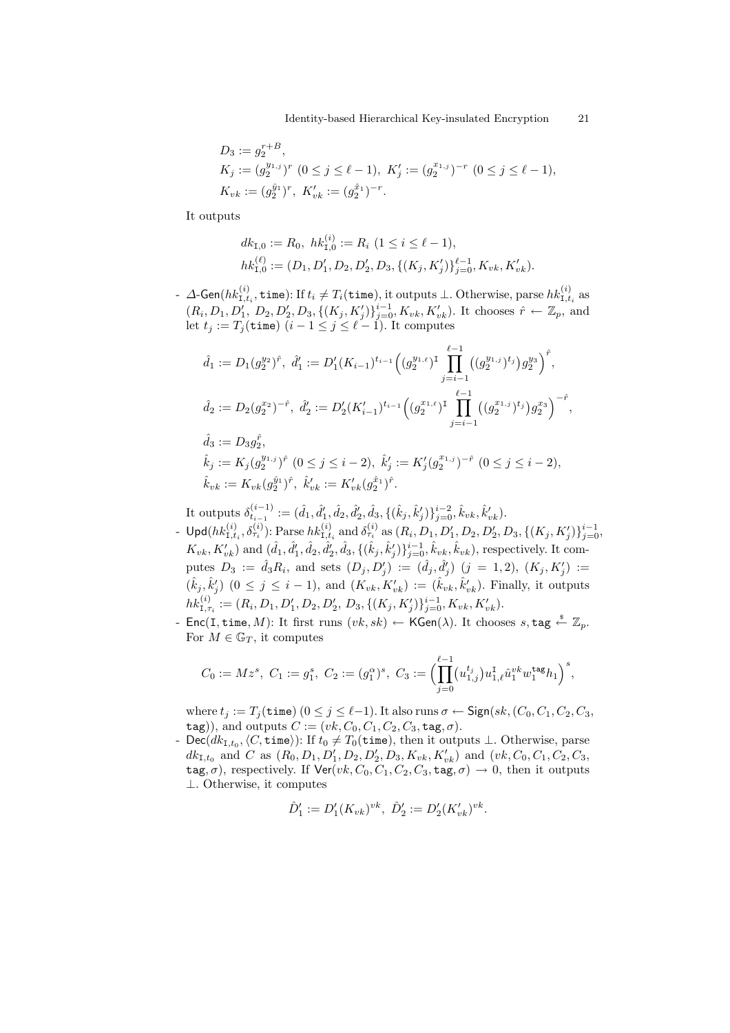$$
D_3 := g_2^{r+B},
$$
  
\n
$$
K_j := (g_2^{y_{1,j}})^r \ (0 \le j \le \ell - 1), \ K'_j := (g_2^{x_{1,j}})^{-r} \ (0 \le j \le \ell - 1),
$$
  
\n
$$
K_{vk} := (g_2^{\hat{y}_1})^r, \ K'_{vk} := (g_2^{\hat{x}_1})^{-r}.
$$

It outputs

$$
dk_{\mathcal{I},0} := R_0, \ hk_{\mathcal{I},0}^{(i)} := R_i \ (1 \le i \le \ell - 1),
$$
  

$$
hk_{\mathcal{I},0}^{(\ell)} := (D_1, D'_1, D_2, D'_2, D_3, \{(K_j, K'_j)\}_{j=0}^{\ell-1}, K_{vk}, K'_{vk}).
$$

 $-$  *∆*-Gen(*hk*<sub>I,*t<sub>i</sub>*</sub>, **time**): If *t<sub>i</sub>* ≠ *T<sub>i</sub>*(**time**), it outputs ⊥. Otherwise, parse *hk*<sub>I,*t<sub>i</sub>*</sub> as  $(R_i, D_1, D'_1, D_2, D'_2, D_3, \{(K_j, K'_j)\}_{j=0}^{i-1}, K_{vk}, K'_{vk})$ . It chooses  $\hat{r} \leftarrow \mathbb{Z}_p$ , and let  $t_j := T_j(\texttt{time})$   $(i - 1 \leq j \leq \ell - 1)$ . It computes

$$
\hat{d}_1 := D_1(g_2^{y_2})^{\hat{r}}, \ \hat{d}'_1 := D'_1(K_{i-1})^{t_{i-1}} \Big( (g_2^{y_1,\ell})^{\text{T}} \prod_{j=i-1}^{\ell-1} ((g_2^{y_1,j})^{t_j}) g_2^{y_3} \Big)^{\hat{r}},
$$
  

$$
\hat{d}_2 := D_2(g_2^{x_2})^{-\hat{r}}, \ \hat{d}'_2 := D'_2(K'_{i-1})^{t_{i-1}} \Big( (g_2^{x_1,\ell})^{\text{T}} \prod_{j=i-1}^{\ell-1} ((g_2^{x_1,j})^{t_j}) g_2^{x_3} \Big)^{-\hat{r}},
$$
  

$$
\hat{d}_3 := D_3 g_2^{\hat{r}},
$$

$$
\hat{k}_j := K_j(g_2^{y_{1,j}})^{\hat{r}} \ (0 \leq j \leq i-2), \ \hat{k}'_j := K'_j(g_2^{x_{1,j}})^{-\hat{r}} \ (0 \leq j \leq i-2),
$$
  
\n
$$
\hat{k}_{vk} := K_{vk}(g_2^{\hat{y}_1})^{\hat{r}}, \ \hat{k}'_{vk} := K'_{vk}(g_2^{\hat{x}_1})^{\hat{r}}.
$$

It outputs  $\delta^{(i-1)}_{t_{i-1}} := (\hat{d}_1, \hat{d}'_1, \hat{d}_2, \hat{d}'_2, \hat{d}_3, \{(\hat{k}_j, \hat{k}'_j)\}_{j=0}^{i-2}, \hat{k}_{vk}, \hat{k}'_{vk}).$ 

- $\mathsf{Upd}(hk_{\mathtt{I},t_i}^{(i)},\delta_{\tau_i}^{(i)})$ : Parse  $hk_{\mathtt{I},t_i}^{(i)}$  and  $\delta_{\tau_i}^{(i)}$  as  $(R_i,D_1,D'_1,D_2,D'_2,D_3,\{(K_j,K'_j)\}_{j=0}^{i-1},$  $K_{vk}, K'_{vk}$  and  $(\hat{d}_1, \hat{d}'_1, \hat{d}_2, \hat{d}'_2, \hat{d}_3, \{(\hat{k}_j, \hat{k}'_j)\}_{j=0}^{i-1}, \hat{k}_{vk}, \hat{k}_{vk})$ , respectively. It computes  $D_3 := \hat{d}_3 R_i$ , and sets  $(D_j, D'_j) := (\hat{d}_j, \hat{d}'_j)$   $(j = 1, 2)$ ,  $(K_j, K'_j) :=$  $(\hat{k}_j, \hat{k}'_j)$   $(0 \le j \le i - 1)$ , and  $(K_{vk}, K'_{vk}) := (\hat{k}_{vk}, \hat{k}'_{vk})$ . Finally, it outputs  $hk_{1,\tau_i}^{(i)} := (R_i, D_1, D'_1, D_2, D'_2, D_3, \{(K_j, K'_j)\}_{j=0}^{i-1}, K_{vk}, K'_{vk}).$
- Enc(I*,* time*, M*): It first runs (*vk, sk*) *←* KGen(*λ*). It chooses *s,* tag \$*←* Z*p*. For  $M \in \mathbb{G}_T$ , it computes *<sub>j</sub>*, *K*<sup>*j*</sup>)}<sup>*i*</sup><sub>*i*=0</sub>, *K*<sub>*vk*</sub>, *K*<br>← KGen( $\lambda$ ). It ch<br>, *C*<sub>3</sub> :=  $\left(\prod_{i=1}^{l-1} (u_{1,j}^{t_j})\right)$

$$
C_0:=Mz^s, \ C_1:=g_1^s, \ C_2:=(g_1^\alpha)^s, \ C_3:=\Bigl(\prod_{j=0}^{\ell-1} \bigl(u_{1,j}^{t_j}\bigr)u_{1,\ell}^{\rm I} \hat{u}_1^{vk}w_1^{\rm tag}h_1\Bigr)^s,
$$

where  $t_j := T_j(\text{time})$   $(0 \leq j \leq \ell-1)$ . It also runs  $\sigma \leftarrow \text{Sign}(sk, (C_0, C_1, C_2, C_3,$  $(\text{tag}$ ), and outputs  $C := (vk, C_0, C_1, C_2, C_3, \text{tag}, \sigma)$ .

*-* Dec( $dk_{\text{I},t_0}, \langle C, \text{time} \rangle$ ): If  $t_0 \neq T_0(\text{time})$ , then it outputs ⊥. Otherwise, parse  $dk_{1,t_0}$  and C as  $(R_0, D_1, D'_1, D_2, D'_2, D_3, K_{vk}, K'_{vk})$  and  $(vk, C_0, C_1, C_2, C_3,$  $\text{tag}, \sigma$ ), respectively. If  $\text{Ver}(vk, C_0, C_1, C_2, C_3, \text{tag}, \sigma) \to 0$ , then it outputs *⊥*. Otherwise, it computes

$$
\hat{D}'_1 := D'_1(K_{vk})^{vk}, \ \hat{D}'_2 := D'_2(K'_{vk})^{vk}.
$$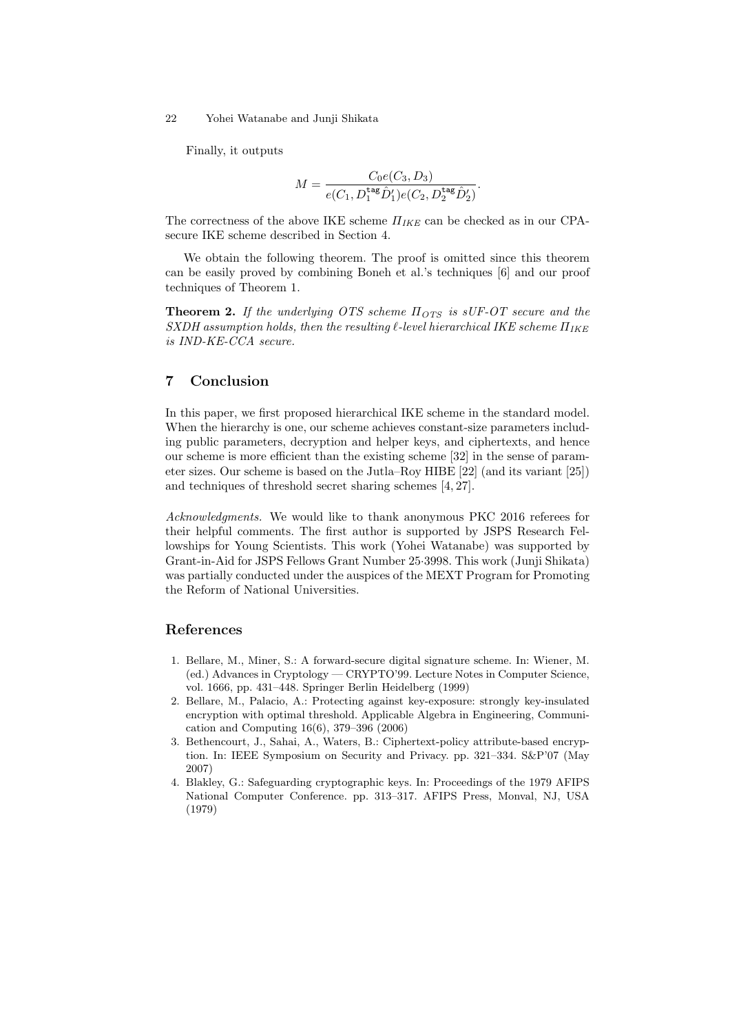Finally, it outputs

$$
M = \frac{C_0 e(C_3, D_3)}{e(C_1, D_1^{\text{tag}} \hat{D}'_1)e(C_2, D_2^{\text{tag}} \hat{D}'_2)}.
$$

The correctness of the above IKE scheme *ΠIKE* can be checked as in our CPAsecure IKE scheme described in Section 4.

We obtain the following theorem. The proof is omitted since this theorem can be easily proved by combining Boneh et al.'s techniques [6] and our proof techniques of Theorem 1.

**Theorem 2.** *If the underlying OTS scheme ΠOTS is sUF-OT secure and the SXDH assumption holds, then the resulting ℓ-level hierarchical IKE scheme ΠIKE is IND-KE-CCA secure.*

### **7 Conclusion**

In this paper, we first proposed hierarchical IKE scheme in the standard model. When the hierarchy is one, our scheme achieves constant-size parameters including public parameters, decryption and helper keys, and ciphertexts, and hence our scheme is more efficient than the existing scheme [32] in the sense of parameter sizes. Our scheme is based on the Jutla–Roy HIBE [22] (and its variant [25]) and techniques of threshold secret sharing schemes [4, 27].

*Acknowledgments.* We would like to thank anonymous PKC 2016 referees for their helpful comments. The first author is supported by JSPS Research Fellowships for Young Scientists. This work (Yohei Watanabe) was supported by Grant-in-Aid for JSPS Fellows Grant Number 25*·*3998. This work (Junji Shikata) was partially conducted under the auspices of the MEXT Program for Promoting the Reform of National Universities.

### **References**

- 1. Bellare, M., Miner, S.: A forward-secure digital signature scheme. In: Wiener, M. (ed.) Advances in Cryptology — CRYPTO'99. Lecture Notes in Computer Science, vol. 1666, pp. 431–448. Springer Berlin Heidelberg (1999)
- 2. Bellare, M., Palacio, A.: Protecting against key-exposure: strongly key-insulated encryption with optimal threshold. Applicable Algebra in Engineering, Communication and Computing 16(6), 379–396 (2006)
- 3. Bethencourt, J., Sahai, A., Waters, B.: Ciphertext-policy attribute-based encryption. In: IEEE Symposium on Security and Privacy. pp. 321–334. S&P'07 (May 2007)
- 4. Blakley, G.: Safeguarding cryptographic keys. In: Proceedings of the 1979 AFIPS National Computer Conference. pp. 313–317. AFIPS Press, Monval, NJ, USA (1979)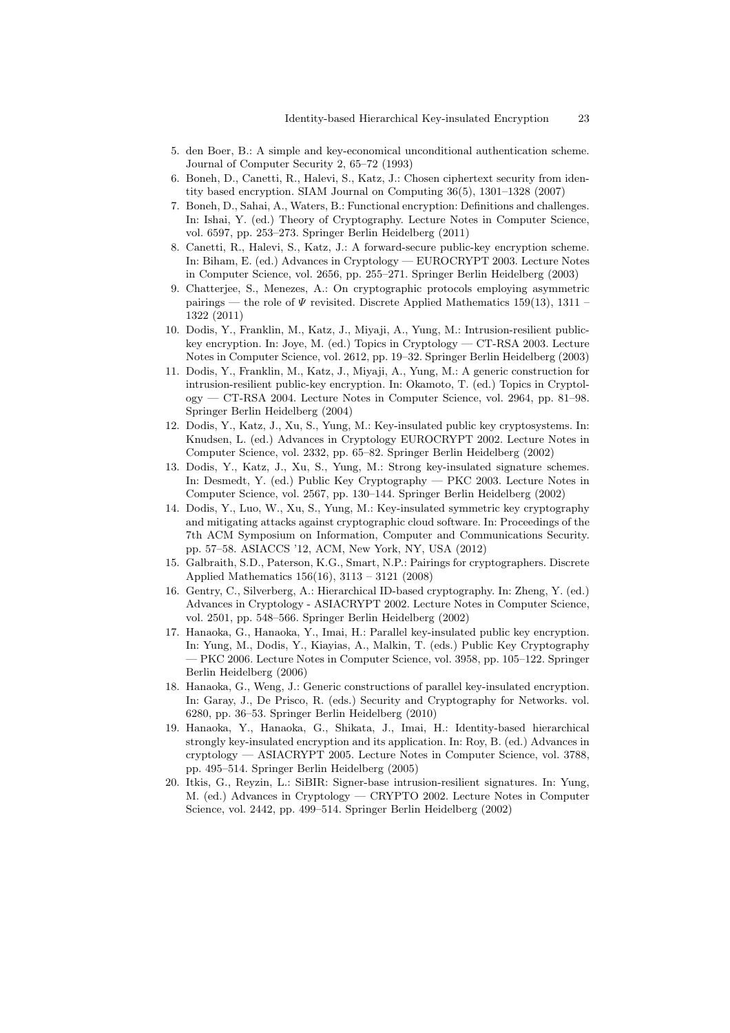- 5. den Boer, B.: A simple and key-economical unconditional authentication scheme. Journal of Computer Security 2, 65–72 (1993)
- 6. Boneh, D., Canetti, R., Halevi, S., Katz, J.: Chosen ciphertext security from identity based encryption. SIAM Journal on Computing 36(5), 1301–1328 (2007)
- 7. Boneh, D., Sahai, A., Waters, B.: Functional encryption: Definitions and challenges. In: Ishai, Y. (ed.) Theory of Cryptography. Lecture Notes in Computer Science, vol. 6597, pp. 253–273. Springer Berlin Heidelberg (2011)
- 8. Canetti, R., Halevi, S., Katz, J.: A forward-secure public-key encryption scheme. In: Biham, E. (ed.) Advances in Cryptology — EUROCRYPT 2003. Lecture Notes in Computer Science, vol. 2656, pp. 255–271. Springer Berlin Heidelberg (2003)
- 9. Chatterjee, S., Menezes, A.: On cryptographic protocols employing asymmetric pairings — the role of *Ψ* revisited. Discrete Applied Mathematics 159(13), 1311 – 1322 (2011)
- 10. Dodis, Y., Franklin, M., Katz, J., Miyaji, A., Yung, M.: Intrusion-resilient publickey encryption. In: Joye, M. (ed.) Topics in Cryptology — CT-RSA 2003. Lecture Notes in Computer Science, vol. 2612, pp. 19–32. Springer Berlin Heidelberg (2003)
- 11. Dodis, Y., Franklin, M., Katz, J., Miyaji, A., Yung, M.: A generic construction for intrusion-resilient public-key encryption. In: Okamoto, T. (ed.) Topics in Cryptology — CT-RSA 2004. Lecture Notes in Computer Science, vol. 2964, pp. 81–98. Springer Berlin Heidelberg (2004)
- 12. Dodis, Y., Katz, J., Xu, S., Yung, M.: Key-insulated public key cryptosystems. In: Knudsen, L. (ed.) Advances in Cryptology EUROCRYPT 2002. Lecture Notes in Computer Science, vol. 2332, pp. 65–82. Springer Berlin Heidelberg (2002)
- 13. Dodis, Y., Katz, J., Xu, S., Yung, M.: Strong key-insulated signature schemes. In: Desmedt, Y. (ed.) Public Key Cryptography — PKC 2003. Lecture Notes in Computer Science, vol. 2567, pp. 130–144. Springer Berlin Heidelberg (2002)
- 14. Dodis, Y., Luo, W., Xu, S., Yung, M.: Key-insulated symmetric key cryptography and mitigating attacks against cryptographic cloud software. In: Proceedings of the 7th ACM Symposium on Information, Computer and Communications Security. pp. 57–58. ASIACCS '12, ACM, New York, NY, USA (2012)
- 15. Galbraith, S.D., Paterson, K.G., Smart, N.P.: Pairings for cryptographers. Discrete Applied Mathematics 156(16), 3113 – 3121 (2008)
- 16. Gentry, C., Silverberg, A.: Hierarchical ID-based cryptography. In: Zheng, Y. (ed.) Advances in Cryptology - ASIACRYPT 2002. Lecture Notes in Computer Science, vol. 2501, pp. 548–566. Springer Berlin Heidelberg (2002)
- 17. Hanaoka, G., Hanaoka, Y., Imai, H.: Parallel key-insulated public key encryption. In: Yung, M., Dodis, Y., Kiayias, A., Malkin, T. (eds.) Public Key Cryptography — PKC 2006. Lecture Notes in Computer Science, vol. 3958, pp. 105–122. Springer Berlin Heidelberg (2006)
- 18. Hanaoka, G., Weng, J.: Generic constructions of parallel key-insulated encryption. In: Garay, J., De Prisco, R. (eds.) Security and Cryptography for Networks. vol. 6280, pp. 36–53. Springer Berlin Heidelberg (2010)
- 19. Hanaoka, Y., Hanaoka, G., Shikata, J., Imai, H.: Identity-based hierarchical strongly key-insulated encryption and its application. In: Roy, B. (ed.) Advances in cryptology — ASIACRYPT 2005. Lecture Notes in Computer Science, vol. 3788, pp. 495–514. Springer Berlin Heidelberg (2005)
- 20. Itkis, G., Reyzin, L.: SiBIR: Signer-base intrusion-resilient signatures. In: Yung, M. (ed.) Advances in Cryptology — CRYPTO 2002. Lecture Notes in Computer Science, vol. 2442, pp. 499–514. Springer Berlin Heidelberg (2002)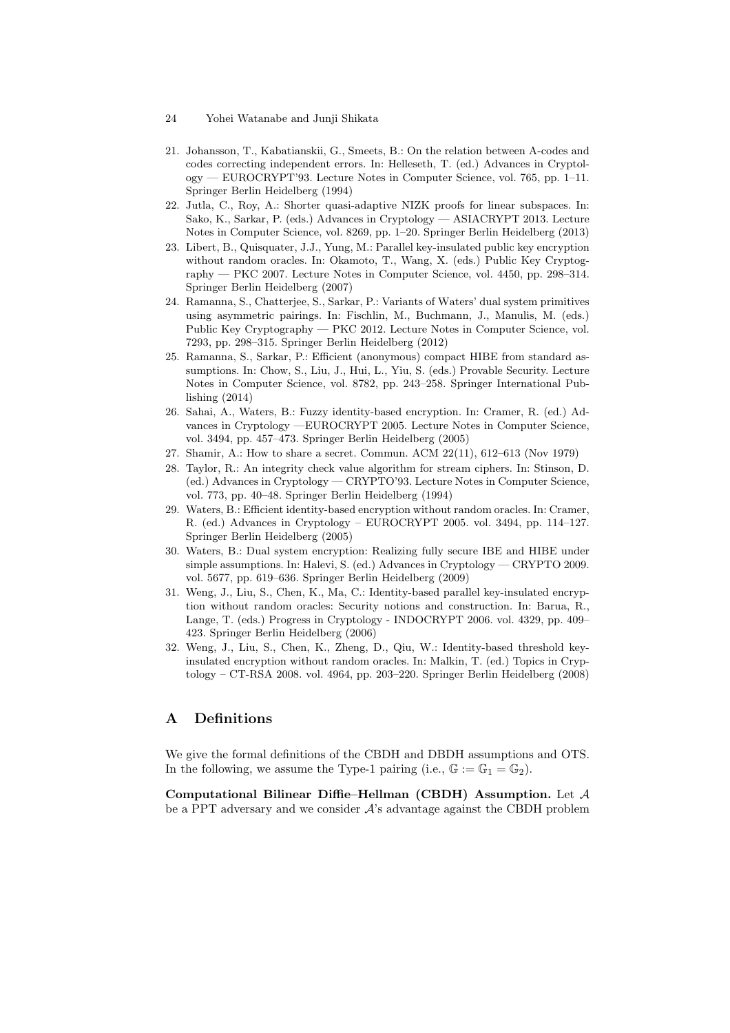- 24 Yohei Watanabe and Junji Shikata
- 21. Johansson, T., Kabatianskii, G., Smeets, B.: On the relation between A-codes and codes correcting independent errors. In: Helleseth, T. (ed.) Advances in Cryptology — EUROCRYPT'93. Lecture Notes in Computer Science, vol. 765, pp. 1–11. Springer Berlin Heidelberg (1994)
- 22. Jutla, C., Roy, A.: Shorter quasi-adaptive NIZK proofs for linear subspaces. In: Sako, K., Sarkar, P. (eds.) Advances in Cryptology — ASIACRYPT 2013. Lecture Notes in Computer Science, vol. 8269, pp. 1–20. Springer Berlin Heidelberg (2013)
- 23. Libert, B., Quisquater, J.J., Yung, M.: Parallel key-insulated public key encryption without random oracles. In: Okamoto, T., Wang, X. (eds.) Public Key Cryptography — PKC 2007. Lecture Notes in Computer Science, vol. 4450, pp. 298–314. Springer Berlin Heidelberg (2007)
- 24. Ramanna, S., Chatterjee, S., Sarkar, P.: Variants of Waters' dual system primitives using asymmetric pairings. In: Fischlin, M., Buchmann, J., Manulis, M. (eds.) Public Key Cryptography — PKC 2012. Lecture Notes in Computer Science, vol. 7293, pp. 298–315. Springer Berlin Heidelberg (2012)
- 25. Ramanna, S., Sarkar, P.: Efficient (anonymous) compact HIBE from standard assumptions. In: Chow, S., Liu, J., Hui, L., Yiu, S. (eds.) Provable Security. Lecture Notes in Computer Science, vol. 8782, pp. 243–258. Springer International Publishing (2014)
- 26. Sahai, A., Waters, B.: Fuzzy identity-based encryption. In: Cramer, R. (ed.) Advances in Cryptology —EUROCRYPT 2005. Lecture Notes in Computer Science, vol. 3494, pp. 457–473. Springer Berlin Heidelberg (2005)
- 27. Shamir, A.: How to share a secret. Commun. ACM 22(11), 612–613 (Nov 1979)
- 28. Taylor, R.: An integrity check value algorithm for stream ciphers. In: Stinson, D. (ed.) Advances in Cryptology — CRYPTO'93. Lecture Notes in Computer Science, vol. 773, pp. 40–48. Springer Berlin Heidelberg (1994)
- 29. Waters, B.: Efficient identity-based encryption without random oracles. In: Cramer, R. (ed.) Advances in Cryptology – EUROCRYPT 2005. vol. 3494, pp. 114–127. Springer Berlin Heidelberg (2005)
- 30. Waters, B.: Dual system encryption: Realizing fully secure IBE and HIBE under simple assumptions. In: Halevi, S. (ed.) Advances in Cryptology — CRYPTO 2009. vol. 5677, pp. 619–636. Springer Berlin Heidelberg (2009)
- 31. Weng, J., Liu, S., Chen, K., Ma, C.: Identity-based parallel key-insulated encryption without random oracles: Security notions and construction. In: Barua, R., Lange, T. (eds.) Progress in Cryptology - INDOCRYPT 2006. vol. 4329, pp. 409– 423. Springer Berlin Heidelberg (2006)
- 32. Weng, J., Liu, S., Chen, K., Zheng, D., Qiu, W.: Identity-based threshold keyinsulated encryption without random oracles. In: Malkin, T. (ed.) Topics in Cryptology – CT-RSA 2008. vol. 4964, pp. 203–220. Springer Berlin Heidelberg (2008)

# **A Definitions**

We give the formal definitions of the CBDH and DBDH assumptions and OTS. In the following, we assume the Type-1 pairing (i.e.,  $\mathbb{G} := \mathbb{G}_1 = \mathbb{G}_2$ ).

**Computational Bilinear Diffie–Hellman (CBDH) Assumption.** Let *A* be a PPT adversary and we consider *A*'s advantage against the CBDH problem